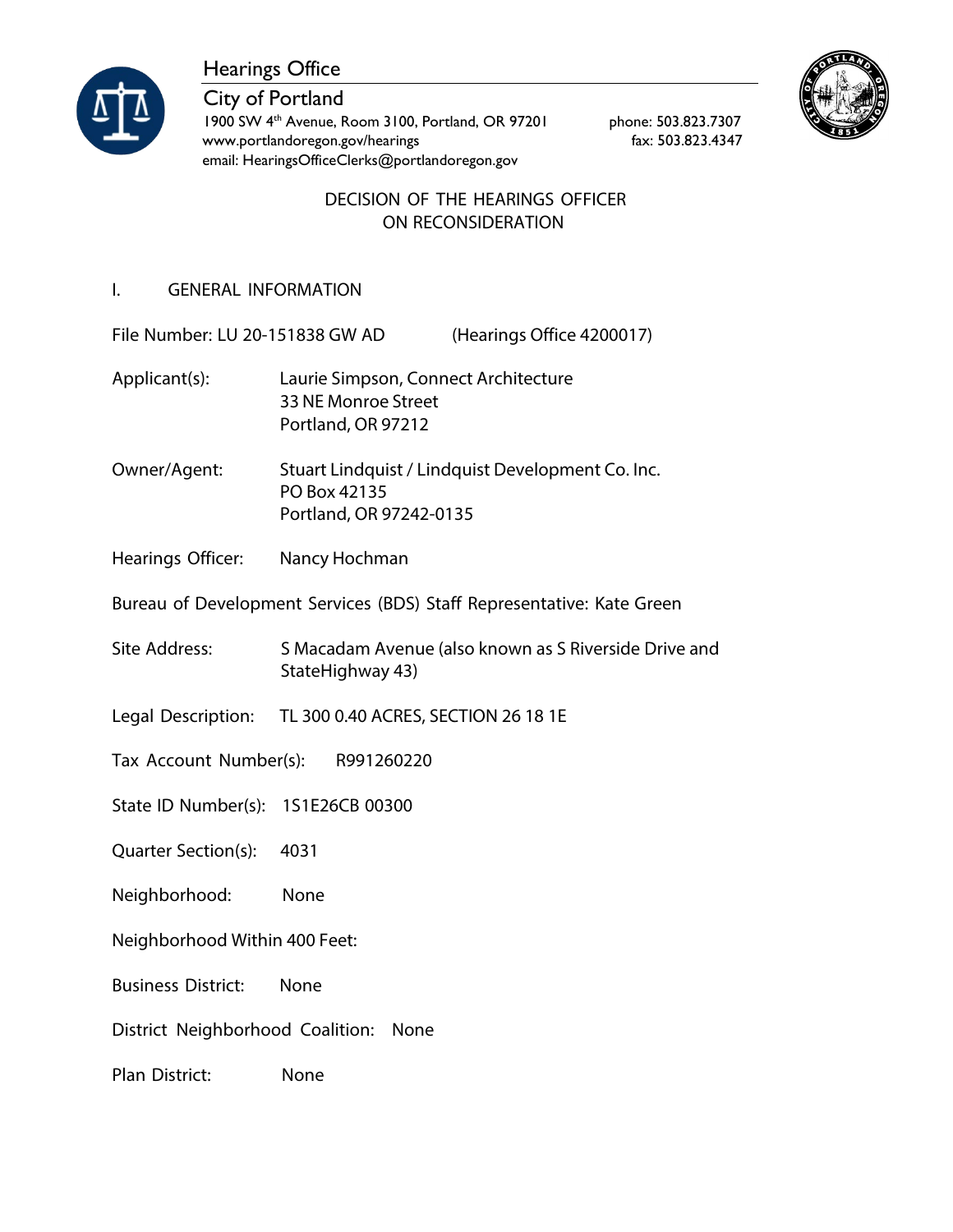

Hearings Office

City of Portland 1900 SW 4<sup>th</sup> Avenue, Room 3100, Portland, OR 97201 phone: 503.823.7307 [www.portlandoregon.gov/hearings](http://www.portlandoregon.gov/hearings) fax: 503.823.4347 email: [HearingsOfficeClerks@portlandoregon.gov](mailto:HearingsOfficeClerks@portlandoregon.gov)



## DECISION OF THE HEARINGS OFFICER ON RECONSIDERATION

# I. GENERAL INFORMATION

File Number: LU 20-151838 GW AD (Hearings Office 4200017)

- Applicant(s): Laurie Simpson, Connect Architecture 33 NE Monroe Street Portland, OR 97212
- Owner/Agent: Stuart Lindquist / Lindquist Development Co. Inc. PO Box 42135 Portland, OR 97242-0135
- Hearings Officer: Nancy Hochman

Bureau of Development Services (BDS) Staff Representative: Kate Green

- Site Address: S Macadam Avenue (also known as S Riverside Drive and StateHighway 43)
- Legal Description: TL 300 0.40 ACRES, SECTION 26 18 1E
- Tax Account Number(s): R991260220
- State ID Number(s): 1S1E26CB 00300
- Quarter Section(s): 4031
- Neighborhood: None
- Neighborhood Within 400 Feet:
- Business District: None
- District Neighborhood Coalition: None
- Plan District: None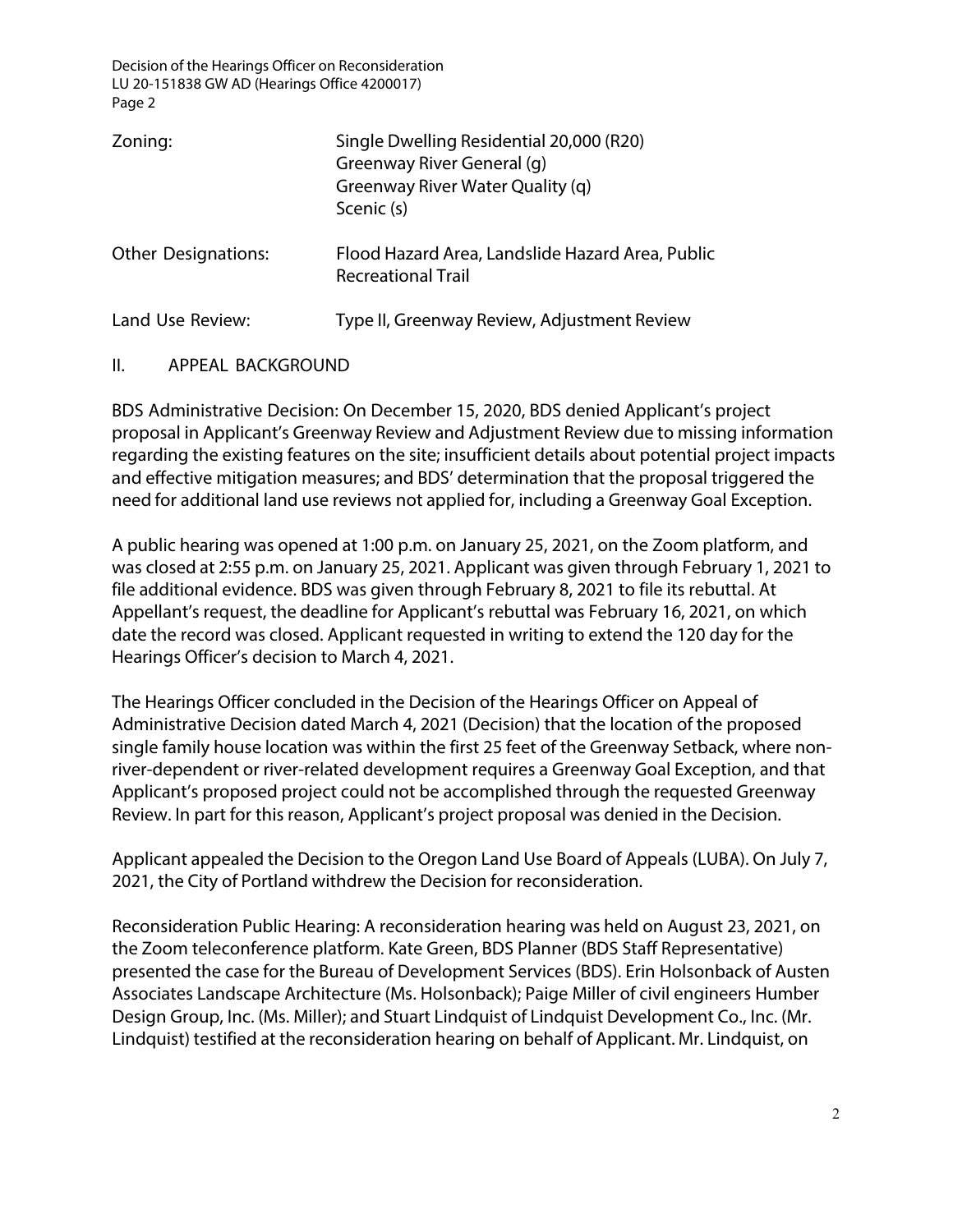| Zoning:                    | Single Dwelling Residential 20,000 (R20)<br>Greenway River General (q)<br>Greenway River Water Quality (q)<br>Scenic (s) |
|----------------------------|--------------------------------------------------------------------------------------------------------------------------|
| <b>Other Designations:</b> | Flood Hazard Area, Landslide Hazard Area, Public<br><b>Recreational Trail</b>                                            |
| Land Use Review:           | Type II, Greenway Review, Adjustment Review                                                                              |

### II. APPEAL BACKGROUND

BDS Administrative Decision: On December 15, 2020, BDS denied Applicant's project proposal in Applicant's Greenway Review and Adjustment Review due to missing information regarding the existing features on the site; insufficient details about potential project impacts and effective mitigation measures; and BDS' determination that the proposal triggered the need for additional land use reviews not applied for, including a Greenway Goal Exception.

A public hearing was opened at 1:00 p.m. on January 25, 2021, on the Zoom platform, and was closed at 2:55 p.m. on January 25, 2021. Applicant was given through February 1, 2021 to file additional evidence. BDS was given through February 8, 2021 to file its rebuttal. At Appellant's request, the deadline for Applicant's rebuttal was February 16, 2021, on which date the record was closed. Applicant requested in writing to extend the 120 day for the Hearings Officer's decision to March 4, 2021.

The Hearings Officer concluded in the Decision of the Hearings Officer on Appeal of Administrative Decision dated March 4, 2021 (Decision) that the location of the proposed single family house location was within the first 25 feet of the Greenway Setback, where nonriver-dependent or river-related development requires a Greenway Goal Exception, and that Applicant's proposed project could not be accomplished through the requested Greenway Review. In part for this reason, Applicant's project proposal was denied in the Decision.

Applicant appealed the Decision to the Oregon Land Use Board of Appeals (LUBA). On July 7, 2021, the City of Portland withdrew the Decision for reconsideration.

Reconsideration Public Hearing: A reconsideration hearing was held on August 23, 2021, on the Zoom teleconference platform. Kate Green, BDS Planner (BDS Staff Representative) presented the case for the Bureau of Development Services (BDS). Erin Holsonback of Austen Associates Landscape Architecture (Ms. Holsonback); Paige Miller of civil engineers Humber Design Group, Inc. (Ms. Miller); and Stuart Lindquist of Lindquist Development Co., Inc. (Mr. Lindquist) testified at the reconsideration hearing on behalf of Applicant. Mr. Lindquist, on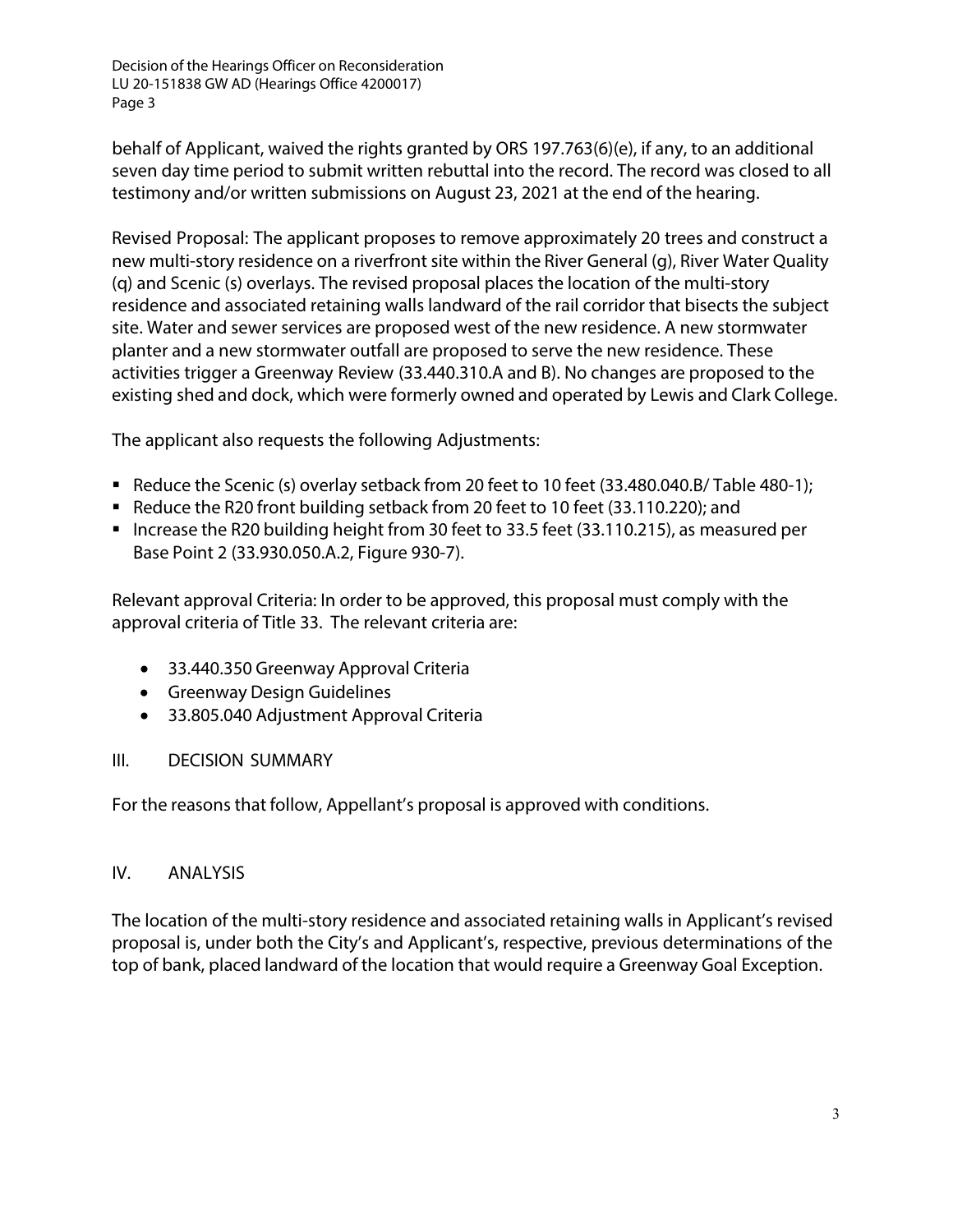behalf of Applicant, waived the rights granted by ORS 197.763(6)(e), if any, to an additional seven day time period to submit written rebuttal into the record. The record was closed to all testimony and/or written submissions on August 23, 2021 at the end of the hearing.

Revised Proposal: The applicant proposes to remove approximately 20 trees and construct a new multi-story residence on a riverfront site within the River General (g), River Water Quality (q) and Scenic (s) overlays. The revised proposal places the location of the multi-story residence and associated retaining walls landward of the rail corridor that bisects the subject site. Water and sewer services are proposed west of the new residence. A new stormwater planter and a new stormwater outfall are proposed to serve the new residence. These activities trigger a Greenway Review (33.440.310.A and B). No changes are proposed to the existing shed and dock, which were formerly owned and operated by Lewis and Clark College.

The applicant also requests the following Adjustments:

- Reduce the Scenic (s) overlay setback from 20 feet to 10 feet (33.480.040.B/ Table 480-1);
- Reduce the R20 front building setback from 20 feet to 10 feet (33.110.220); and
- Increase the R20 building height from 30 feet to 33.5 feet (33.110.215), as measured per Base Point 2 (33.930.050.A.2, Figure 930-7).

Relevant approval Criteria: In order to be approved, this proposal must comply with the approval criteria of Title 33. The relevant criteria are:

- 33.440.350 Greenway Approval Criteria
- Greenway Design Guidelines
- 33.805.040 Adjustment Approval Criteria

## III. DECISION SUMMARY

For the reasons that follow, Appellant's proposal is approved with conditions.

## IV. ANALYSIS

The location of the multi-story residence and associated retaining walls in Applicant's revised proposal is, under both the City's and Applicant's, respective, previous determinations of the top of bank, placed landward of the location that would require a Greenway Goal Exception.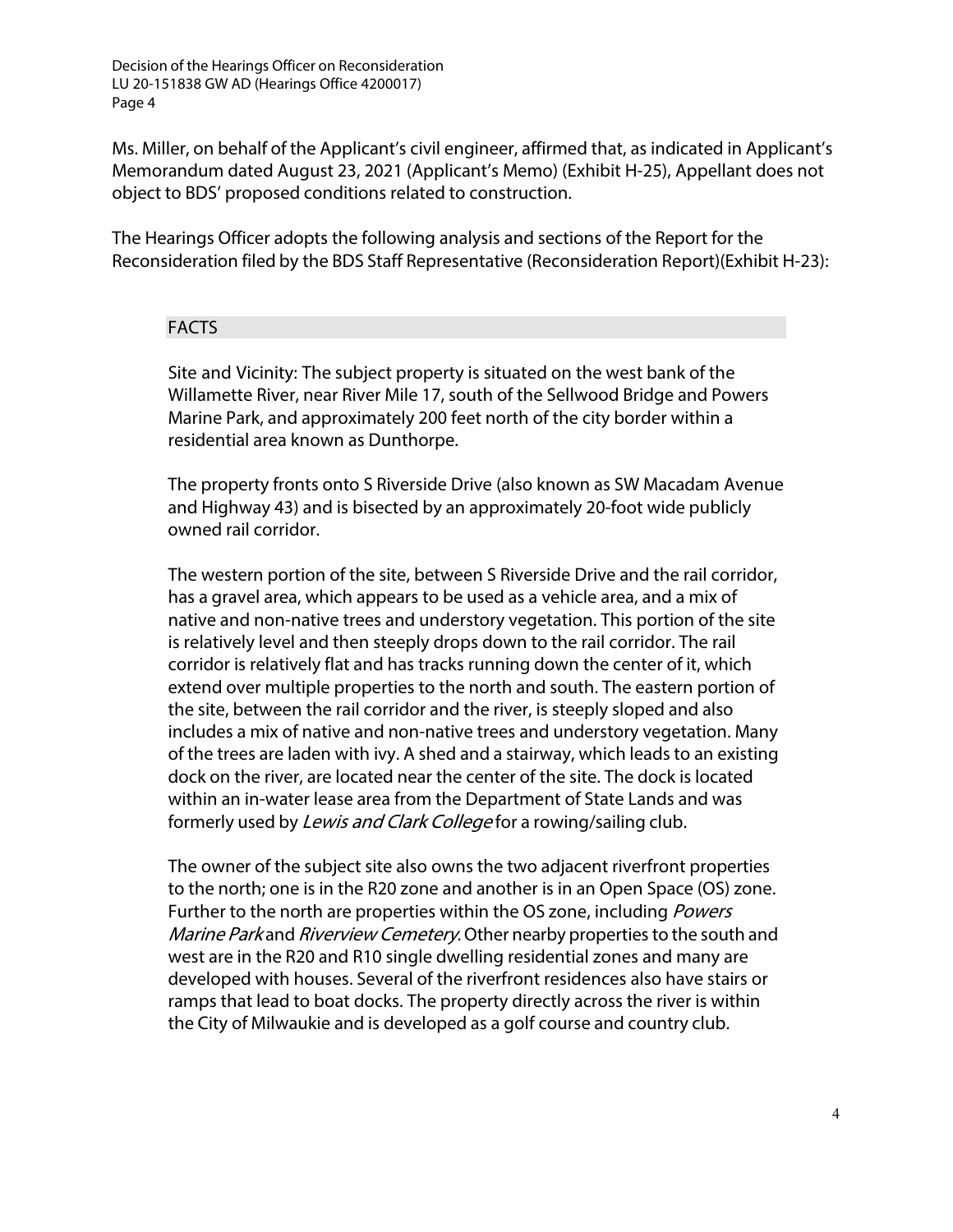Ms. Miller, on behalf of the Applicant's civil engineer, affirmed that, as indicated in Applicant's Memorandum dated August 23, 2021 (Applicant's Memo) (Exhibit H-25), Appellant does not object to BDS' proposed conditions related to construction.

The Hearings Officer adopts the following analysis and sections of the Report for the Reconsideration filed by the BDS Staff Representative (Reconsideration Report)(Exhibit H-23):

### FACTS

Site and Vicinity: The subject property is situated on the west bank of the Willamette River, near River Mile 17, south of the Sellwood Bridge and Powers Marine Park, and approximately 200 feet north of the city border within a residential area known as Dunthorpe.

The property fronts onto S Riverside Drive (also known as SW Macadam Avenue and Highway 43) and is bisected by an approximately 20-foot wide publicly owned rail corridor.

The western portion of the site, between S Riverside Drive and the rail corridor, has a gravel area, which appears to be used as a vehicle area, and a mix of native and non-native trees and understory vegetation. This portion of the site is relatively level and then steeply drops down to the rail corridor. The rail corridor is relatively flat and has tracks running down the center of it, which extend over multiple properties to the north and south. The eastern portion of the site, between the rail corridor and the river, is steeply sloped and also includes a mix of native and non-native trees and understory vegetation. Many of the trees are laden with ivy. A shed and a stairway, which leads to an existing dock on the river, are located near the center of the site. The dock is located within an in-water lease area from the Department of State Lands and was formerly used by Lewis and Clark College for a rowing/sailing club.

The owner of the subject site also owns the two adjacent riverfront properties to the north; one is in the R20 zone and another is in an Open Space (OS) zone. Further to the north are properties within the OS zone, including *Powers* Marine Park and Riverview Cemetery. Other nearby properties to the south and west are in the R20 and R10 single dwelling residential zones and many are developed with houses. Several of the riverfront residences also have stairs or ramps that lead to boat docks. The property directly across the river is within the City of Milwaukie and is developed as a golf course and country club.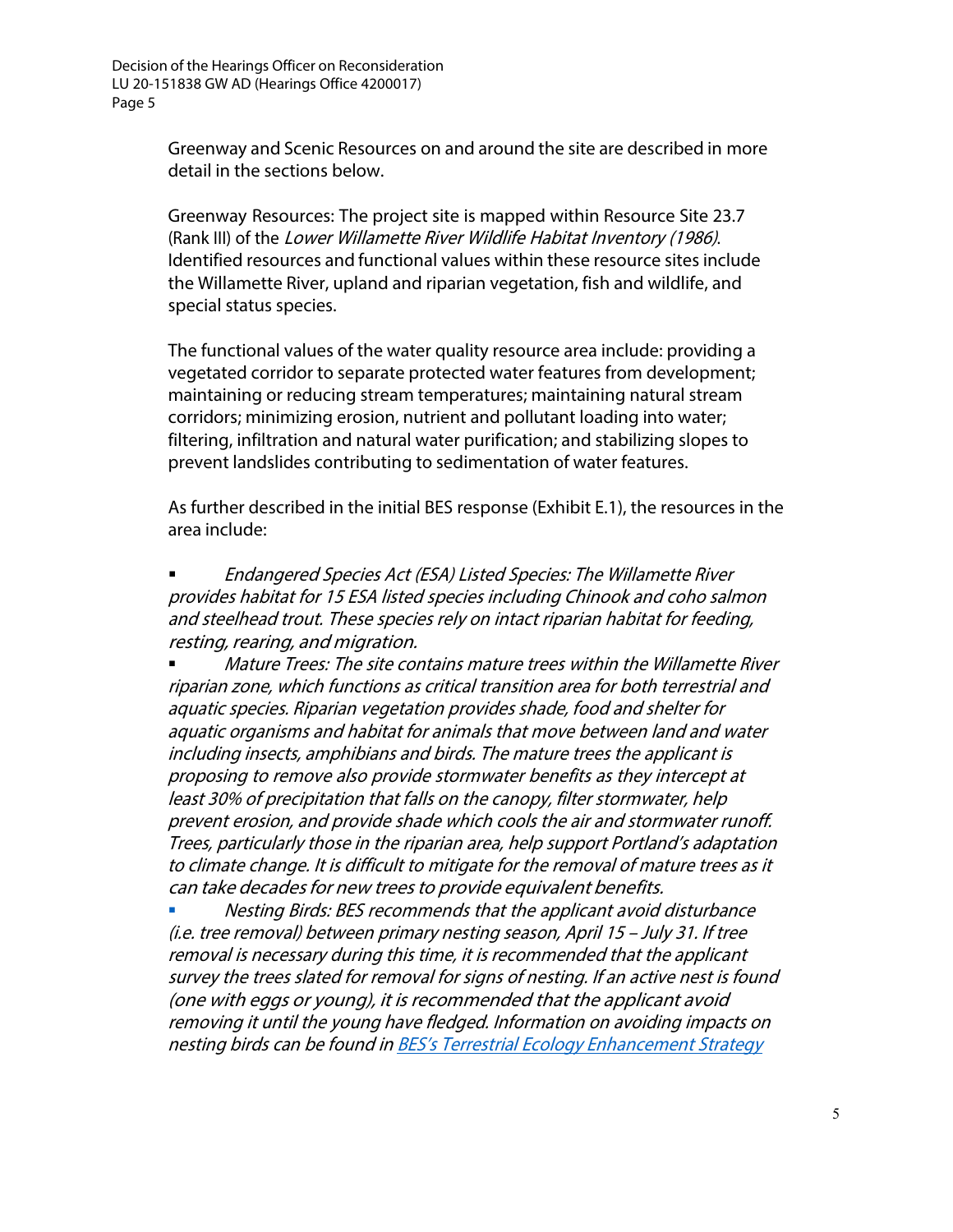> Greenway and Scenic Resources on and around the site are described in more detail in the sections below.

Greenway Resources: The project site is mapped within Resource Site 23.7 (Rank III) of the Lower Willamette River Wildlife Habitat Inventory (1986). Identified resources and functional values within these resource sites include the Willamette River, upland and riparian vegetation, fish and wildlife, and special status species.

The functional values of the water quality resource area include: providing a vegetated corridor to separate protected water features from development; maintaining or reducing stream temperatures; maintaining natural stream corridors; minimizing erosion, nutrient and pollutant loading into water; filtering, infiltration and natural water purification; and stabilizing slopes to prevent landslides contributing to sedimentation of water features.

As further described in the initial BES response (Exhibit E.1), the resources in the area include:

**Endangered Species Act (ESA) Listed Species: The Willamette River** provides habitat for 15 ESA listed species including Chinook and coho salmon and steelhead trout. These species rely on intact riparian habitat for feeding, resting, rearing, and migration.

 Mature Trees: The site contains mature trees within the Willamette River riparian zone, which functions as critical transition area for both terrestrial and aquatic species. Riparian vegetation provides shade, food and shelter for aquatic organisms and habitat for animals that move between land and water including insects, amphibians and birds. The mature trees the applicant is proposing to remove also provide stormwater benefits as they intercept at least 30% of precipitation that falls on the canopy, filter stormwater, help prevent erosion, and provide shade which cools the air and stormwater runoff. Trees, particularly those in the riparian area, help support Portland's adaptation to climate change. It is difficult to mitigate for the removal of mature trees as it can take decades for new trees to provide equivalent benefits.

 Nesting Birds: BES recommends that the applicant avoid disturbance (i.e. tree removal) between primary nesting season, April 15 – July 31. If tree removal is necessary during this time, it is recommended that the applicant survey the trees slated for removal for signs of nesting. If an active nest is found (one with eggs or young), it is recommended that the applicant avoid removing it until the young have fledged. Information on avoiding impacts on nesting birds can be found in BES's Terrestrial Ecology [Enhancement](https://www.portlandoregon.gov/bes/index.cfm?&a=322164) Strategy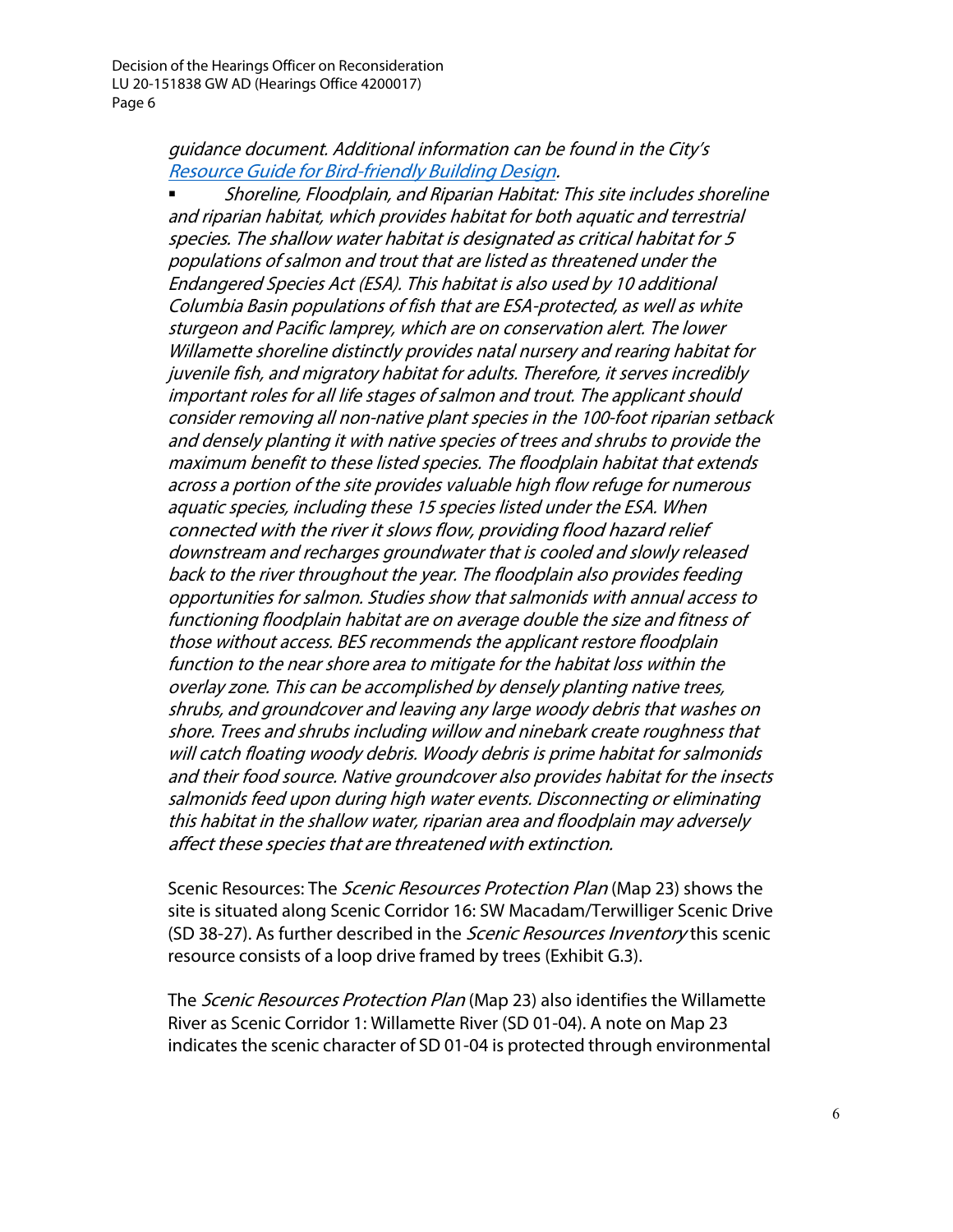## guidance document. Additional information can be found in the City's Resource Guide for [Bird-friendly](https://www.portlandoregon.gov/bps/article/446308) Building Design.

 Shoreline, Floodplain, and Riparian Habitat: This site includes shoreline and riparian habitat, which provides habitat for both aquatic and terrestrial species. The shallow water habitat is designated as critical habitat for 5 populations of salmon and trout that are listed as threatened under the Endangered Species Act (ESA). This habitat is also used by 10 additional Columbia Basin populations of fish that are ESA-protected, as well as white sturgeon and Pacific lamprey, which are on conservation alert. The lower Willamette shoreline distinctly provides natal nursery and rearing habitat for juvenile fish, and migratory habitat for adults. Therefore, it serves incredibly important roles for all life stages of salmon and trout. The applicant should consider removing all non-native plant species in the 100-foot riparian setback and densely planting it with native species of trees and shrubs to provide the maximum benefit to these listed species. The floodplain habitat that extends across <sup>a</sup> portion of the site provides valuable high flow refuge for numerous aquatic species, including these 15 species listed under the ESA. When connected with the river it slows flow, providing flood hazard relief downstream and recharges groundwater that is cooled and slowly released back to the river throughout the year. The floodplain also provides feeding opportunities for salmon. Studies show that salmonids with annual access to functioning floodplain habitat are on average double the size and fitness of those without access. BES recommends the applicant restore floodplain function to the near shore area to mitigate for the habitat loss within the overlay zone. This can be accomplished by densely planting native trees, shrubs, and groundcover and leaving any large woody debris that washes on shore. Trees and shrubs including willow and ninebark create roughness that will catch floating woody debris. Woody debris is prime habitat for salmonids and their food source. Native groundcover also provides habitat for the insects salmonids feed upon during high water events. Disconnecting or eliminating this habitat in the shallow water, riparian area and floodplain may adversely affect these species that are threatened with extinction.

Scenic Resources: The *Scenic Resources Protection Plan* (Map 23) shows the site is situated along Scenic Corridor 16: SW Macadam/Terwilliger Scenic Drive (SD 38-27). As further described in the *Scenic Resources Inventory* this scenic resource consists of a loop drive framed by trees (Exhibit G.3).

The Scenic Resources Protection Plan (Map 23) also identifies the Willamette River as Scenic Corridor 1: Willamette River (SD 01-04). A note on Map 23 indicates the scenic character of SD 01-04 is protected through environmental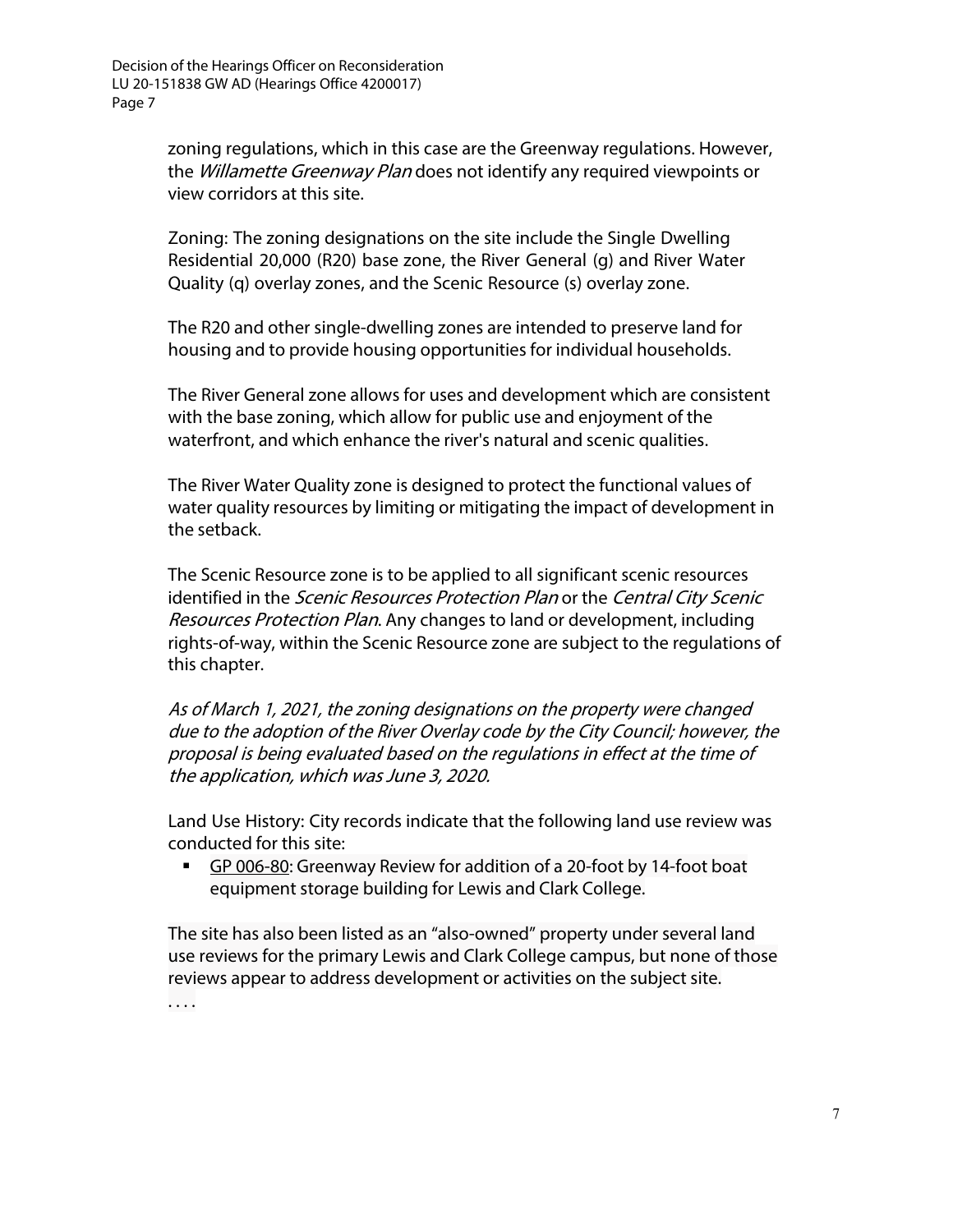zoning regulations, which in this case are the Greenway regulations. However, the Willamette Greenway Plan does not identify any required viewpoints or view corridors at this site.

Zoning: The zoning designations on the site include the Single Dwelling Residential 20,000 (R20) base zone, the River General (g) and River Water Quality (q) overlay zones, and the Scenic Resource (s) overlay zone.

The R20 and other single-dwelling zones are intended to preserve land for housing and to provide housing opportunities for individual households.

The River General zone allows for uses and development which are consistent with the base zoning, which allow for public use and enjoyment of the waterfront, and which enhance the river's natural and scenic qualities.

The River Water Quality zone is designed to protect the functional values of water quality resources by limiting or mitigating the impact of development in the setback.

The Scenic Resource zone is to be applied to all significant scenic resources identified in the Scenic Resources Protection Plan or the Central City Scenic Resources Protection Plan. Any changes to land or development, including rights-of-way, within the Scenic Resource zone are subject to the regulations of this chapter.

As of March 1, 2021, the zoning designations on the property were changed due to the adoption of the River Overlay code by the City Council; however, the proposal is being evaluated based on the regulations in effect at the time of the application, which was June 3, 2020.

Land Use History: City records indicate that the following land use review was conducted for this site:

GP 006-80: Greenway Review for addition of a 20-foot by 14-foot boat equipment storage building for Lewis and Clark College.

The site has also been listed as an "also-owned" property under several land use reviews for the primary Lewis and Clark College campus, but none of those reviews appear to address development or activities on the subject site. . . . .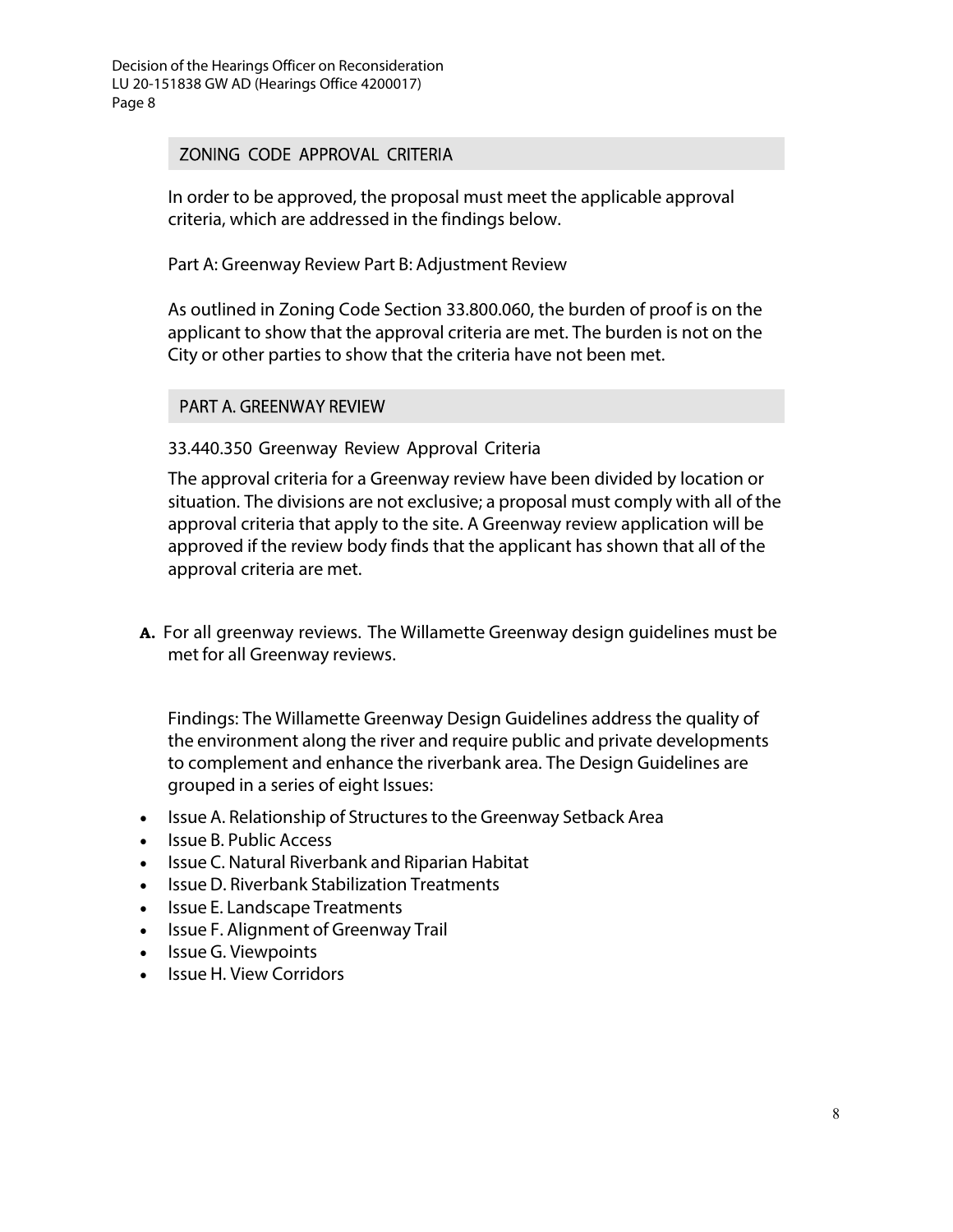#### ZONING CODE APPROVAL CRITERIA

In order to be approved, the proposal must meet the applicable approval criteria, which are addressed in the findings below.

Part A: Greenway Review Part B: Adjustment Review

As outlined in Zoning Code Section 33.800.060, the burden of proof is on the applicant to show that the approval criteria are met. The burden is not on the City or other parties to show that the criteria have not been met.

#### PART A. GREENWAY REVIEW

### 33.440.350 Greenway Review Approval Criteria

The approval criteria for a Greenway review have been divided by location or situation. The divisions are not exclusive; a proposal must comply with all of the approval criteria that apply to the site. A Greenway review application will be approved if the review body finds that the applicant has shown that all of the approval criteria are met.

**A.** For all greenway reviews. The Willamette Greenway design guidelines must be met for all Greenway reviews.

Findings: The Willamette Greenway Design Guidelines address the quality of the environment along the river and require public and private developments to complement and enhance the riverbank area. The Design Guidelines are grouped in a series of eight Issues:

- Issue A. Relationship of Structures to the Greenway Setback Area
- Issue B. Public Access
- Issue C. Natural Riverbank and Riparian Habitat
- Issue D. Riverbank Stabilization Treatments
- Issue E. Landscape Treatments
- Issue F. Alignment of Greenway Trail
- Issue G. Viewpoints
- Issue H. View Corridors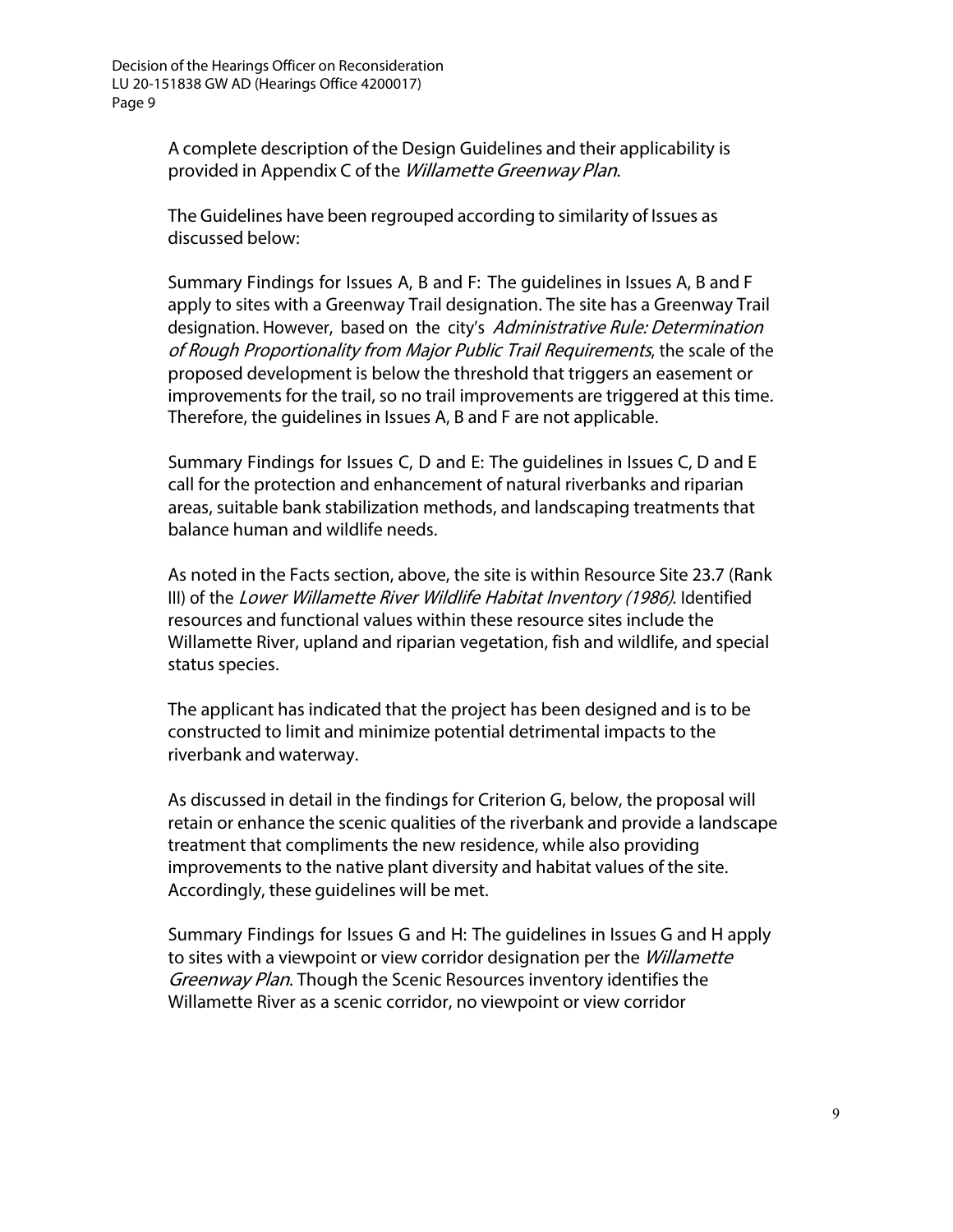A complete description of the Design Guidelines and their applicability is provided in Appendix C of the Willamette Greenway Plan.

The Guidelines have been regrouped according to similarity of Issues as discussed below:

Summary Findings for Issues A, B and F: The guidelines in Issues A, B and F apply to sites with a Greenway Trail designation. The site has a Greenway Trail designation. However, based on the city's Administrative Rule: Determination of Rough Proportionality from Major Public Trail Requirements, the scale of the proposed development is below the threshold that triggers an easement or improvements for the trail, so no trail improvements are triggered at this time. Therefore, the guidelines in Issues A, B and F are not applicable.

Summary Findings for Issues C, D and E: The guidelines in Issues C, D and E call for the protection and enhancement of natural riverbanks and riparian areas, suitable bank stabilization methods, and landscaping treatments that balance human and wildlife needs.

As noted in the Facts section, above, the site is within Resource Site 23.7 (Rank III) of the Lower Willamette River Wildlife Habitat Inventory (1986). Identified resources and functional values within these resource sites include the Willamette River, upland and riparian vegetation, fish and wildlife, and special status species.

The applicant has indicated that the project has been designed and is to be constructed to limit and minimize potential detrimental impacts to the riverbank and waterway.

As discussed in detail in the findings for Criterion G, below, the proposal will retain or enhance the scenic qualities of the riverbank and provide a landscape treatment that compliments the new residence, while also providing improvements to the native plant diversity and habitat values of the site. Accordingly, these guidelines will be met.

Summary Findings for Issues G and H: The guidelines in Issues G and H apply to sites with a viewpoint or view corridor designation per the Willamette Greenway Plan. Though the Scenic Resources inventory identifies the Willamette River as a scenic corridor, no viewpoint or view corridor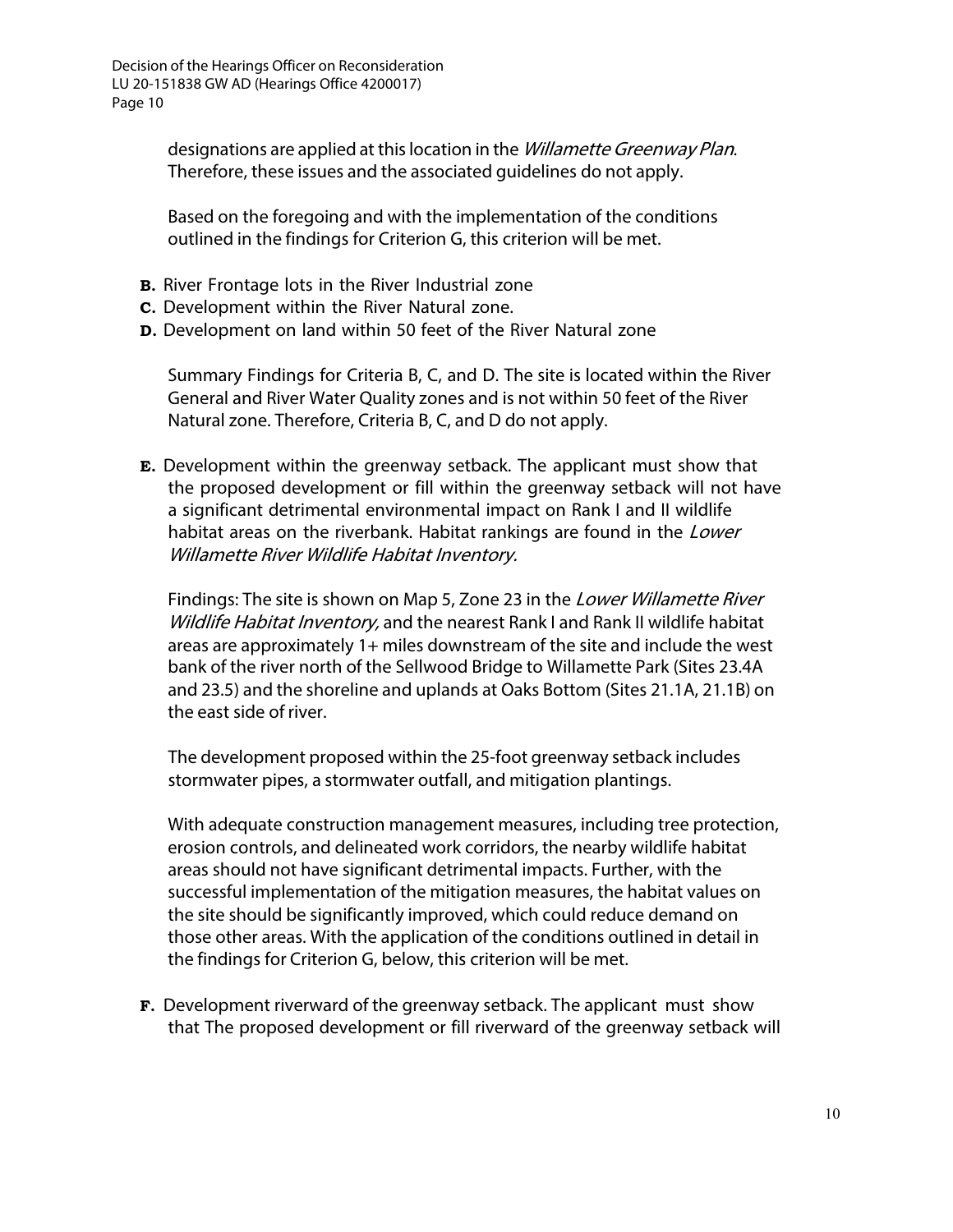> designations are applied at this location in the *Willamette Greenway Plan.* Therefore, these issues and the associated guidelines do not apply.

Based on the foregoing and with the implementation of the conditions outlined in the findings for Criterion G, this criterion will be met.

- **B.** River Frontage lots in the River Industrial zone
- **C.** Development within the River Natural zone.
- **D.** Development on land within 50 feet of the River Natural zone

Summary Findings for Criteria B, C, and D. The site is located within the River General and River Water Quality zones and is not within 50 feet of the River Natural zone. Therefore, Criteria B, C, and D do not apply.

**E.** Development within the greenway setback. The applicant must show that the proposed development or fill within the greenway setback will not have a significant detrimental environmental impact on Rank I and II wildlife habitat areas on the riverbank. Habitat rankings are found in the *Lower* Willamette River Wildlife Habitat Inventory.

Findings: The site is shown on Map 5, Zone 23 in the *Lower Willamette River* Wildlife Habitat Inventory, and the nearest Rank I and Rank II wildlife habitat areas are approximately 1+ miles downstream of the site and include the west bank of the river north of the Sellwood Bridge to Willamette Park (Sites 23.4A and 23.5) and the shoreline and uplands at Oaks Bottom (Sites 21.1A, 21.1B) on the east side of river.

The development proposed within the 25-foot greenway setback includes stormwater pipes, a stormwater outfall, and mitigation plantings.

With adequate construction management measures, including tree protection, erosion controls, and delineated work corridors, the nearby wildlife habitat areas should not have significant detrimental impacts. Further, with the successful implementation of the mitigation measures, the habitat values on the site should be significantly improved, which could reduce demand on those other areas. With the application of the conditions outlined in detail in the findings for Criterion G, below, this criterion will be met.

**F.** Development riverward of the greenway setback. The applicant must show that The proposed development or fill riverward of the greenway setback will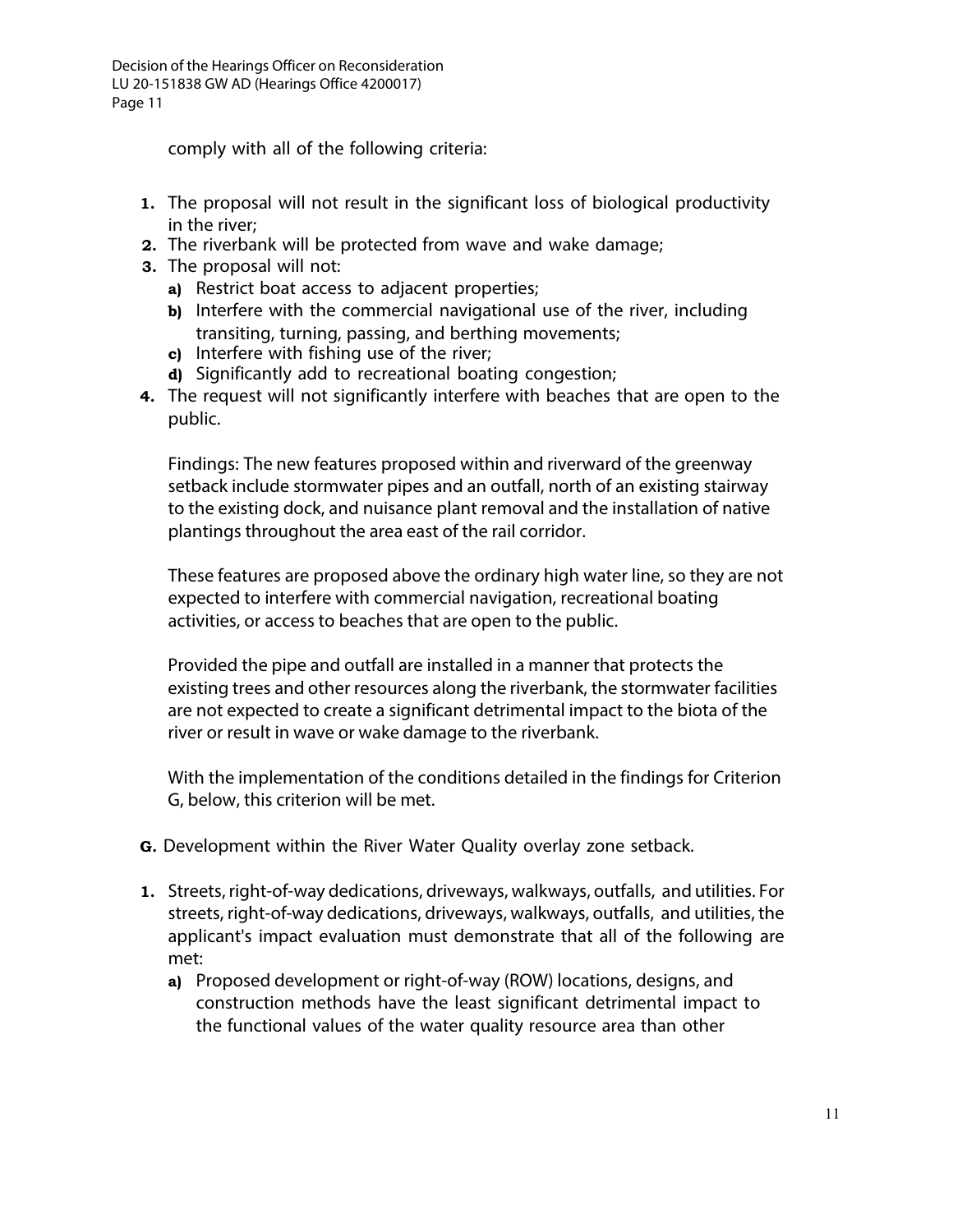comply with all of the following criteria:

- **1.** The proposal will not result in the significant loss of biological productivity in the river;
- **2.** The riverbank will be protected from wave and wake damage;
- **3.** The proposal will not:
	- **a)** Restrict boat access to adjacent properties;
	- **b)** Interfere with the commercial navigational use of the river, including transiting, turning, passing, and berthing movements;
	- **c)** Interfere with fishing use of the river;
	- **d)** Significantly add to recreational boating congestion;
- **4.** The request will not significantly interfere with beaches that are open to the public.

Findings: The new features proposed within and riverward of the greenway setback include stormwater pipes and an outfall, north of an existing stairway to the existing dock, and nuisance plant removal and the installation of native plantings throughout the area east of the rail corridor.

These features are proposed above the ordinary high water line, so they are not expected to interfere with commercial navigation, recreational boating activities, or access to beaches that are open to the public.

Provided the pipe and outfall are installed in a manner that protects the existing trees and other resources along the riverbank, the stormwater facilities are not expected to create a significant detrimental impact to the biota of the river or result in wave or wake damage to the riverbank.

With the implementation of the conditions detailed in the findings for Criterion G, below, this criterion will be met.

- **G.** Development within the River Water Quality overlay zone setback.
- **1.** Streets, right-of-way dedications, driveways, walkways, outfalls, and utilities. For streets, right-of-way dedications, driveways, walkways, outfalls, and utilities, the applicant's impact evaluation must demonstrate that all of the following are met:
	- **a)** Proposed development or right-of-way (ROW) locations, designs, and construction methods have the least significant detrimental impact to the functional values of the water quality resource area than other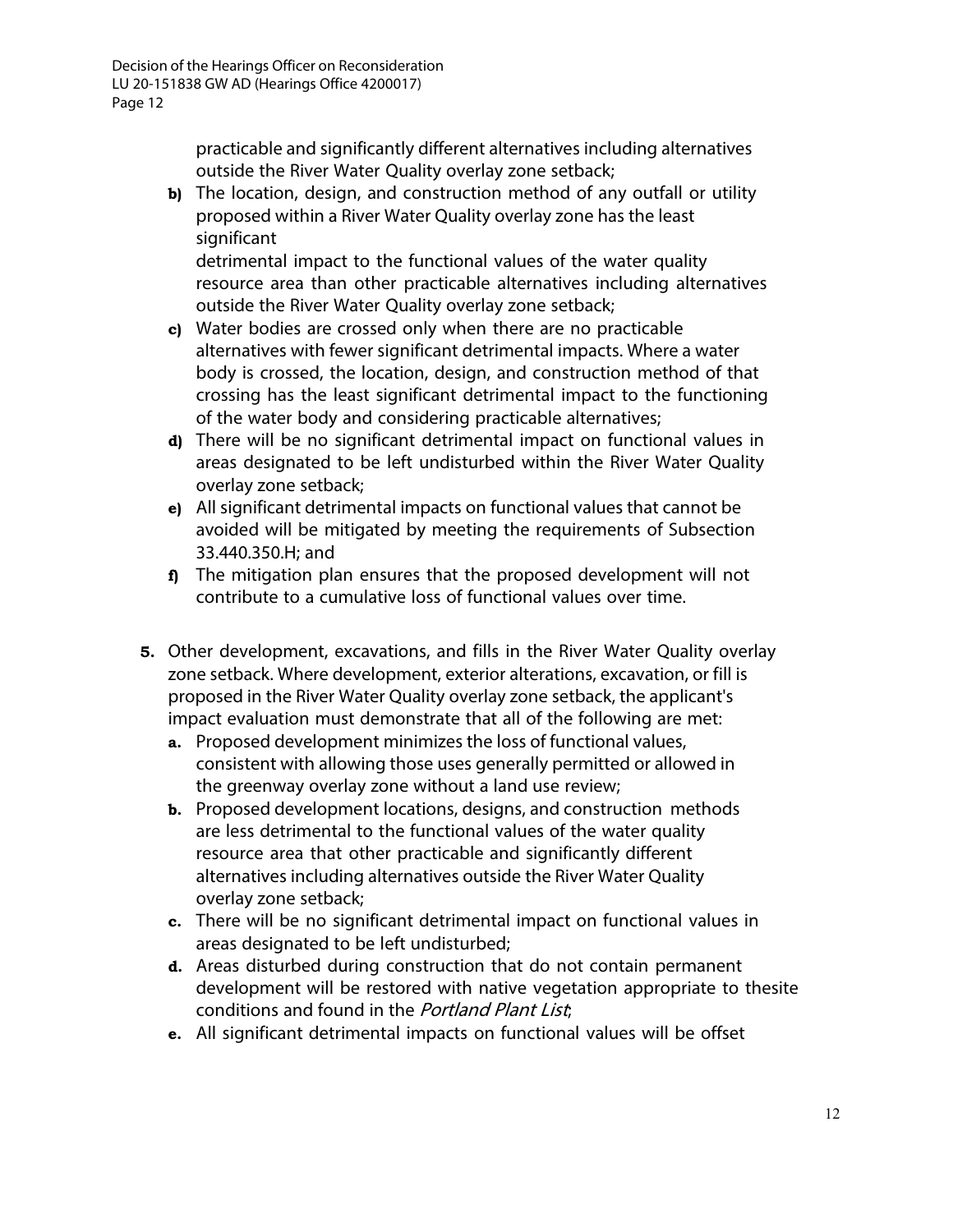practicable and significantly different alternatives including alternatives outside the River Water Quality overlay zone setback;

**b)** The location, design, and construction method of any outfall or utility proposed within a River Water Quality overlay zone has the least significant

detrimental impact to the functional values of the water quality resource area than other practicable alternatives including alternatives outside the River Water Quality overlay zone setback;

- **c)** Water bodies are crossed only when there are no practicable alternatives with fewer significant detrimental impacts. Where a water body is crossed, the location, design, and construction method of that crossing has the least significant detrimental impact to the functioning of the water body and considering practicable alternatives;
- **d)** There will be no significant detrimental impact on functional values in areas designated to be left undisturbed within the River Water Quality overlay zone setback;
- **e)** All significant detrimental impacts on functional values that cannot be avoided will be mitigated by meeting the requirements of Subsection 33.440.350.H; and
- **f)** The mitigation plan ensures that the proposed development will not contribute to a cumulative loss of functional values over time.
- **5.** Other development, excavations, and fills in the River Water Quality overlay zone setback. Where development, exterior alterations, excavation, or fill is proposed in the River Water Quality overlay zone setback, the applicant's impact evaluation must demonstrate that all of the following are met:
	- **a.** Proposed development minimizes the loss of functional values, consistent with allowing those uses generally permitted or allowed in the greenway overlay zone without a land use review;
	- **b.** Proposed development locations, designs, and construction methods are less detrimental to the functional values of the water quality resource area that other practicable and significantly different alternatives including alternatives outside the River Water Quality overlay zone setback;
	- **c.** There will be no significant detrimental impact on functional values in areas designated to be left undisturbed;
	- **d.** Areas disturbed during construction that do not contain permanent development will be restored with native vegetation appropriate to thesite conditions and found in the Portland Plant List;
	- **e.** All significant detrimental impacts on functional values will be offset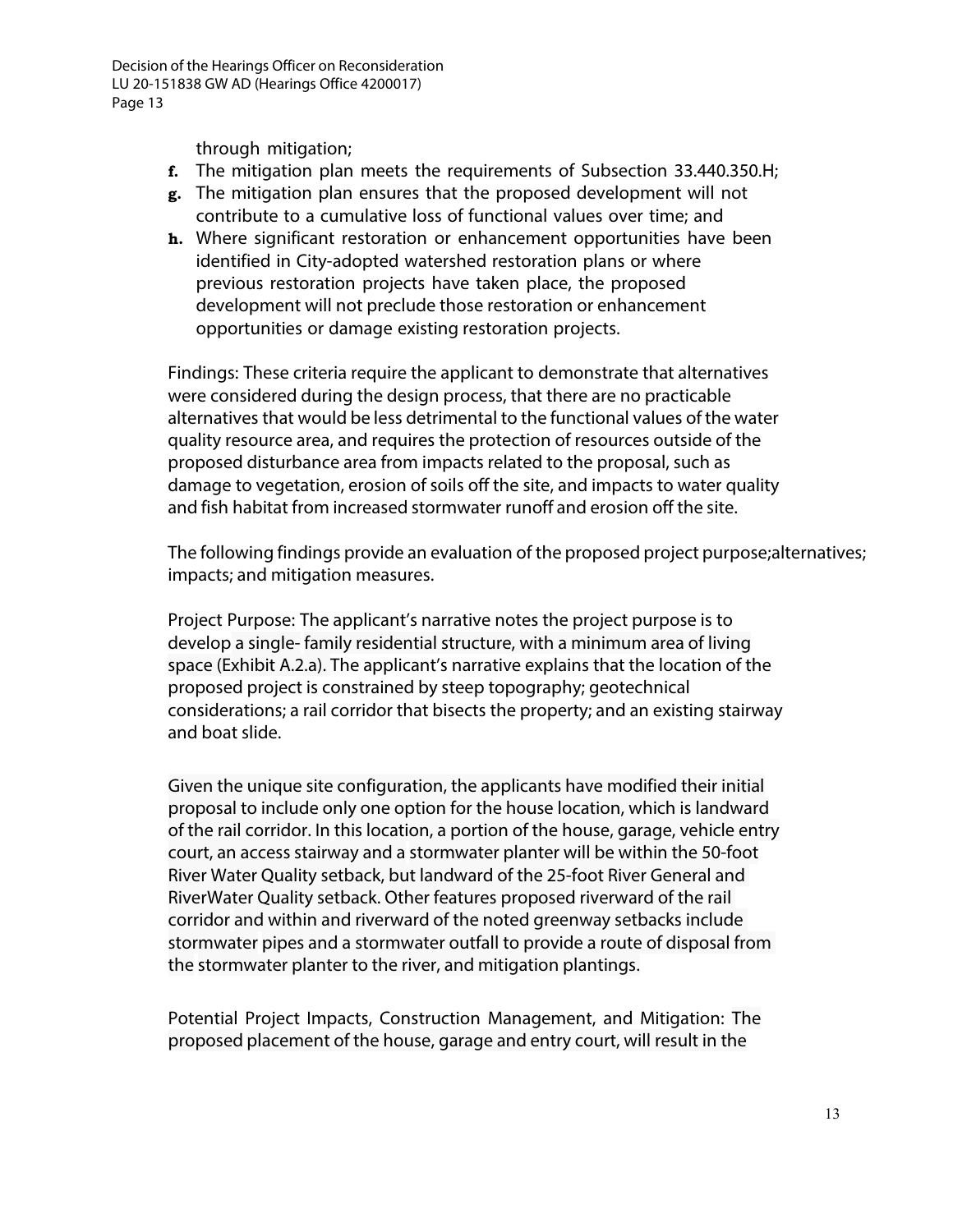through mitigation;

- **f.** The mitigation plan meets the requirements of Subsection 33.440.350.H;
- **g.** The mitigation plan ensures that the proposed development will not contribute to a cumulative loss of functional values over time; and
- **h.** Where significant restoration or enhancement opportunities have been identified in City-adopted watershed restoration plans or where previous restoration projects have taken place, the proposed development will not preclude those restoration or enhancement opportunities or damage existing restoration projects.

Findings: These criteria require the applicant to demonstrate that alternatives were considered during the design process, that there are no practicable alternatives that would be less detrimental to the functional values of the water quality resource area, and requires the protection of resources outside of the proposed disturbance area from impacts related to the proposal, such as damage to vegetation, erosion of soils off the site, and impacts to water quality and fish habitat from increased stormwater runoff and erosion off the site.

The following findings provide an evaluation of the proposed project purpose;alternatives; impacts; and mitigation measures.

Project Purpose: The applicant's narrative notes the project purpose is to develop a single- family residential structure, with a minimum area of living space (Exhibit A.2.a). The applicant's narrative explains that the location of the proposed project is constrained by steep topography; geotechnical considerations; a rail corridor that bisects the property; and an existing stairway and boat slide.

Given the unique site configuration, the applicants have modified their initial proposal to include only one option for the house location, which is landward of the rail corridor. In this location, a portion of the house, garage, vehicle entry court, an access stairway and a stormwater planter will be within the 50-foot River Water Quality setback, but landward of the 25-foot River General and RiverWater Quality setback. Other features proposed riverward of the rail corridor and within and riverward of the noted greenway setbacks include stormwater pipes and a stormwater outfall to provide a route of disposal from the stormwater planter to the river, and mitigation plantings.

Potential Project Impacts, Construction Management, and Mitigation: The proposed placement of the house, garage and entry court, will result in the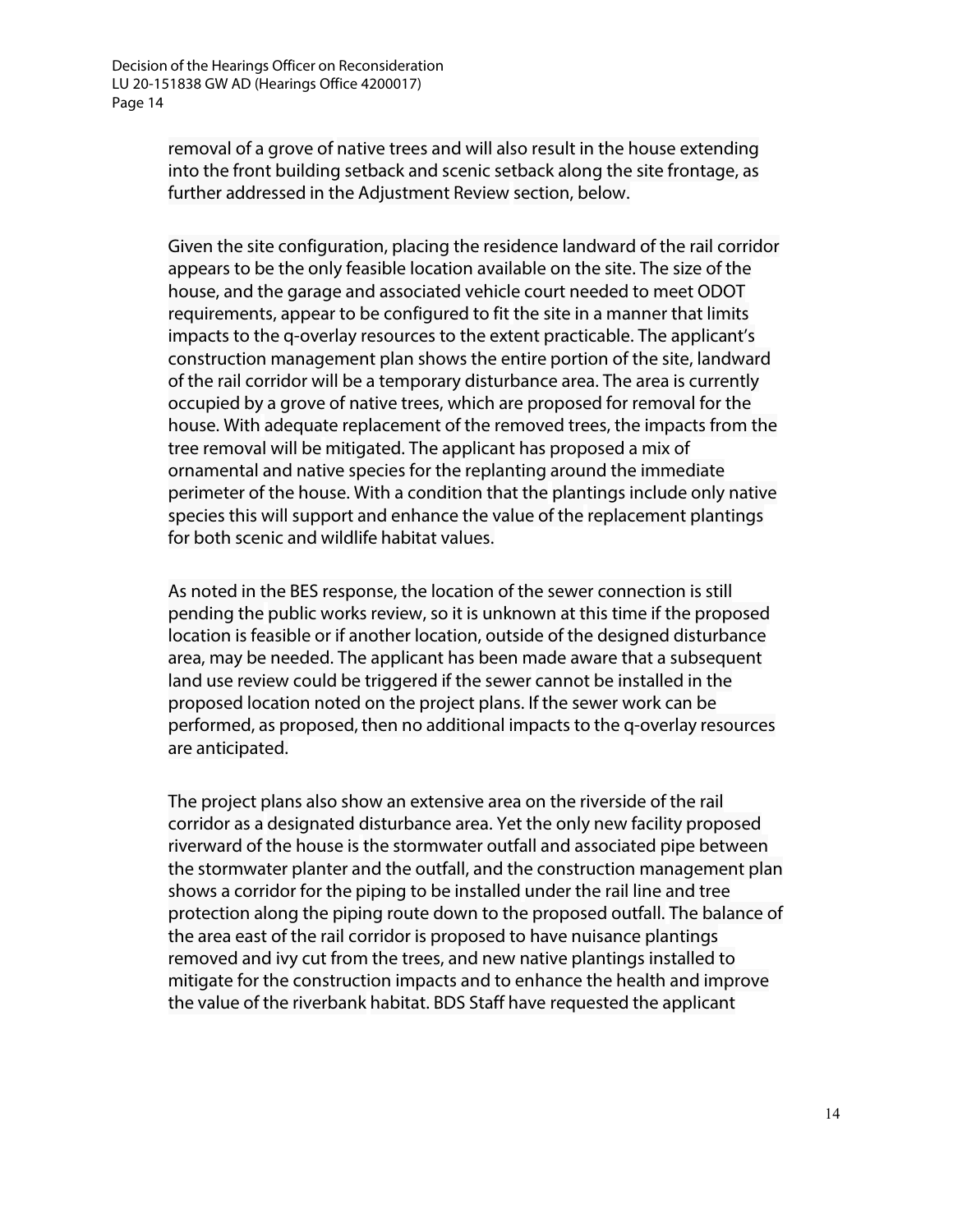removal of a grove of native trees and will also result in the house extending into the front building setback and scenic setback along the site frontage, as further addressed in the Adjustment Review section, below.

Given the site configuration, placing the residence landward of the rail corridor appears to be the only feasible location available on the site. The size of the house, and the garage and associated vehicle court needed to meet ODOT requirements, appear to be configured to fit the site in a manner that limits impacts to the q-overlay resources to the extent practicable. The applicant's construction management plan shows the entire portion of the site, landward of the rail corridor will be a temporary disturbance area. The area is currently occupied by a grove of native trees, which are proposed for removal for the house. With adequate replacement of the removed trees, the impacts from the tree removal will be mitigated. The applicant has proposed a mix of ornamental and native species for the replanting around the immediate perimeter of the house. With a condition that the plantings include only native species this will support and enhance the value of the replacement plantings for both scenic and wildlife habitat values.

As noted in the BES response, the location of the sewer connection is still pending the public works review, so it is unknown at this time if the proposed location is feasible or if another location, outside of the designed disturbance area, may be needed. The applicant has been made aware that a subsequent land use review could be triggered if the sewer cannot be installed in the proposed location noted on the project plans. If the sewer work can be performed, as proposed, then no additional impacts to the q-overlay resources are anticipated.

The project plans also show an extensive area on the riverside of the rail corridor as a designated disturbance area. Yet the only new facility proposed riverward of the house is the stormwater outfall and associated pipe between the stormwater planter and the outfall, and the construction management plan shows a corridor for the piping to be installed under the rail line and tree protection along the piping route down to the proposed outfall. The balance of the area east of the rail corridor is proposed to have nuisance plantings removed and ivy cut from the trees, and new native plantings installed to mitigate for the construction impacts and to enhance the health and improve the value of the riverbank habitat. BDS Staff have requested the applicant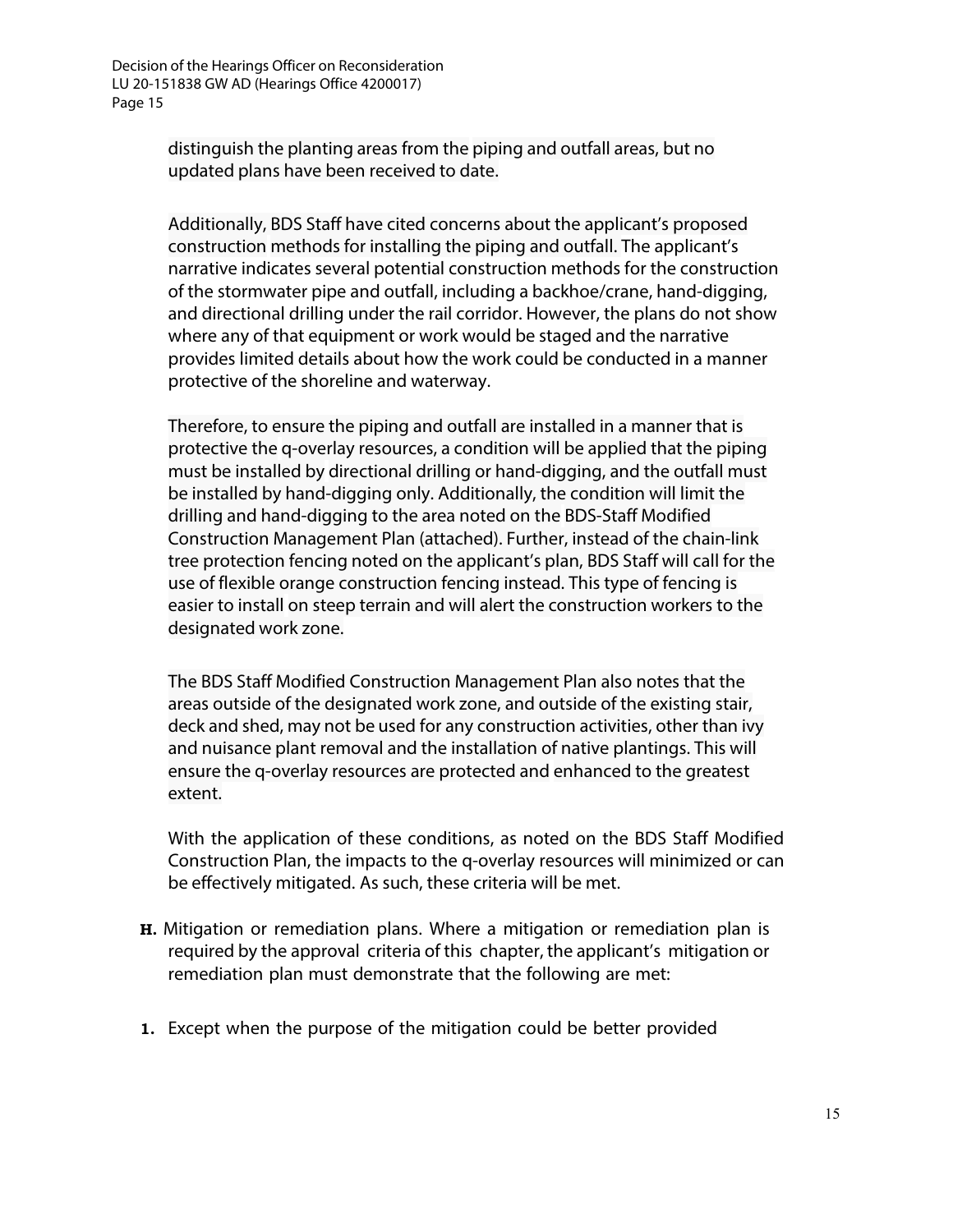> distinguish the planting areas from the piping and outfall areas, but no updated plans have been received to date.

Additionally, BDS Staff have cited concerns about the applicant's proposed construction methods for installing the piping and outfall. The applicant's narrative indicates several potential construction methods for the construction of the stormwater pipe and outfall, including a backhoe/crane, hand-digging, and directional drilling under the rail corridor. However, the plans do not show where any of that equipment or work would be staged and the narrative provides limited details about how the work could be conducted in a manner protective of the shoreline and waterway.

Therefore, to ensure the piping and outfall are installed in a manner that is protective the q-overlay resources, a condition will be applied that the piping must be installed by directional drilling or hand-digging, and the outfall must be installed by hand-digging only. Additionally, the condition will limit the drilling and hand-digging to the area noted on the BDS-Staff Modified Construction Management Plan (attached). Further, instead of the chain-link tree protection fencing noted on the applicant's plan, BDS Staff will call for the use of flexible orange construction fencing instead. This type of fencing is easier to install on steep terrain and will alert the construction workers to the designated work zone.

The BDS Staff Modified Construction Management Plan also notes that the areas outside of the designated work zone, and outside of the existing stair, deck and shed, may not be used for any construction activities, other than ivy and nuisance plant removal and the installation of native plantings. This will ensure the q-overlay resources are protected and enhanced to the greatest extent.

With the application of these conditions, as noted on the BDS Staff Modified Construction Plan, the impacts to the q-overlay resources will minimized or can be effectively mitigated. As such, these criteria will be met.

- **H.** Mitigation or remediation plans. Where a mitigation or remediation plan is required by the approval criteria of this chapter, the applicant's mitigation or remediation plan must demonstrate that the following are met:
- **1.** Except when the purpose of the mitigation could be better provided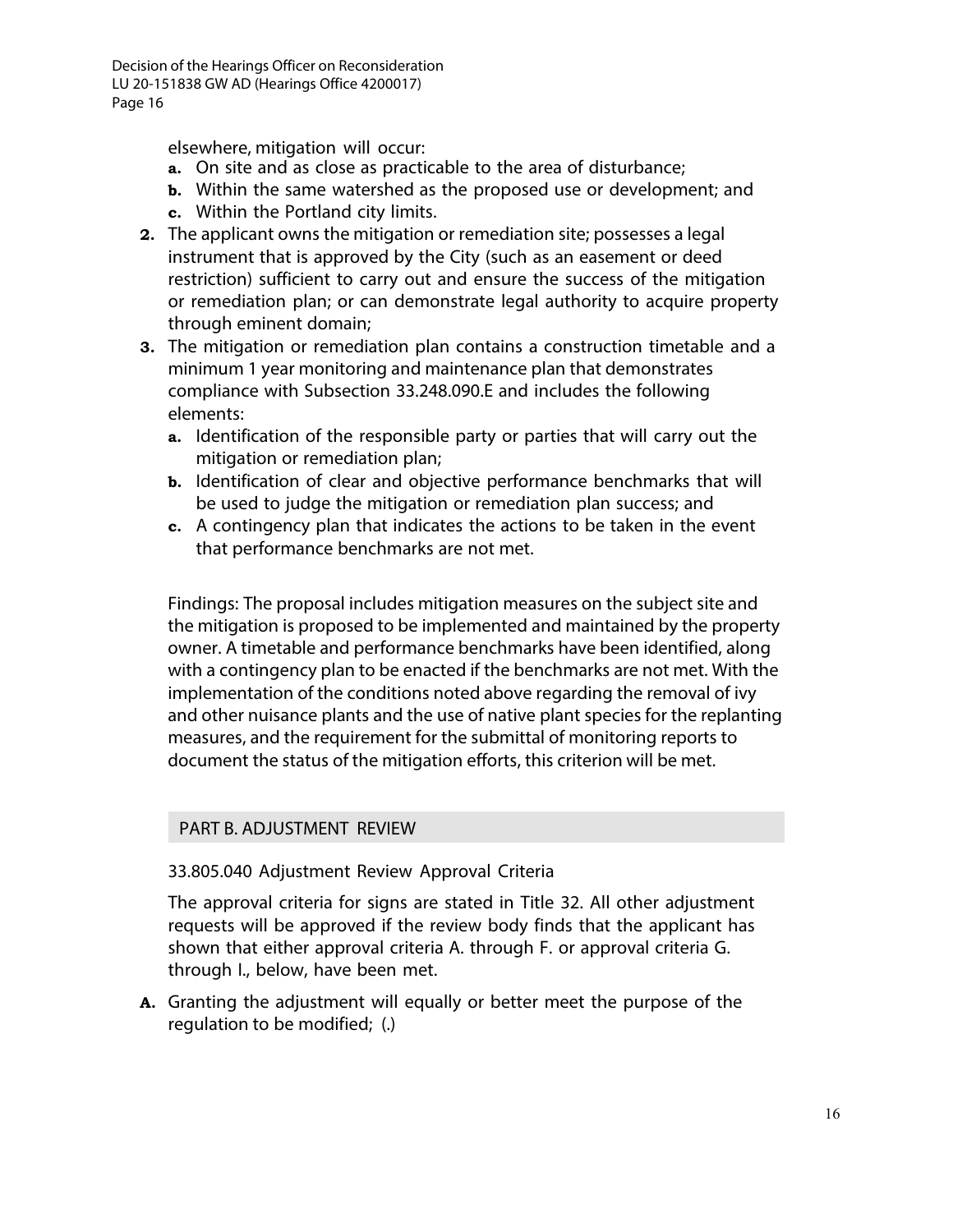elsewhere, mitigation will occur:

- **a.** On site and as close as practicable to the area of disturbance;
- **b.** Within the same watershed as the proposed use or development; and
- **c.** Within the Portland city limits.
- **2.** The applicant owns the mitigation or remediation site; possesses a legal instrument that is approved by the City (such as an easement or deed restriction) sufficient to carry out and ensure the success of the mitigation or remediation plan; or can demonstrate legal authority to acquire property through eminent domain;
- **3.** The mitigation or remediation plan contains a construction timetable and a minimum 1 year monitoring and maintenance plan that demonstrates compliance with Subsection 33.248.090.E and includes the following elements:
	- **a.** Identification of the responsible party or parties that will carry out the mitigation or remediation plan;
	- **b.** Identification of clear and objective performance benchmarks that will be used to judge the mitigation or remediation plan success; and
	- **c.** A contingency plan that indicates the actions to be taken in the event that performance benchmarks are not met.

Findings: The proposal includes mitigation measures on the subject site and the mitigation is proposed to be implemented and maintained by the property owner. A timetable and performance benchmarks have been identified, along with a contingency plan to be enacted if the benchmarks are not met. With the implementation of the conditions noted above regarding the removal of ivy and other nuisance plants and the use of native plant species for the replanting measures, and the requirement for the submittal of monitoring reports to document the status of the mitigation efforts, this criterion will be met.

### PART B. ADJUSTMENT REVIEW

33.805.040 Adjustment Review Approval Criteria

The approval criteria for signs are stated in Title 32. All other adjustment requests will be approved if the review body finds that the applicant has shown that either approval criteria A. through F. or approval criteria G. through I., below, have been met.

**A.** Granting the adjustment will equally or better meet the purpose of the regulation to be modified; (.)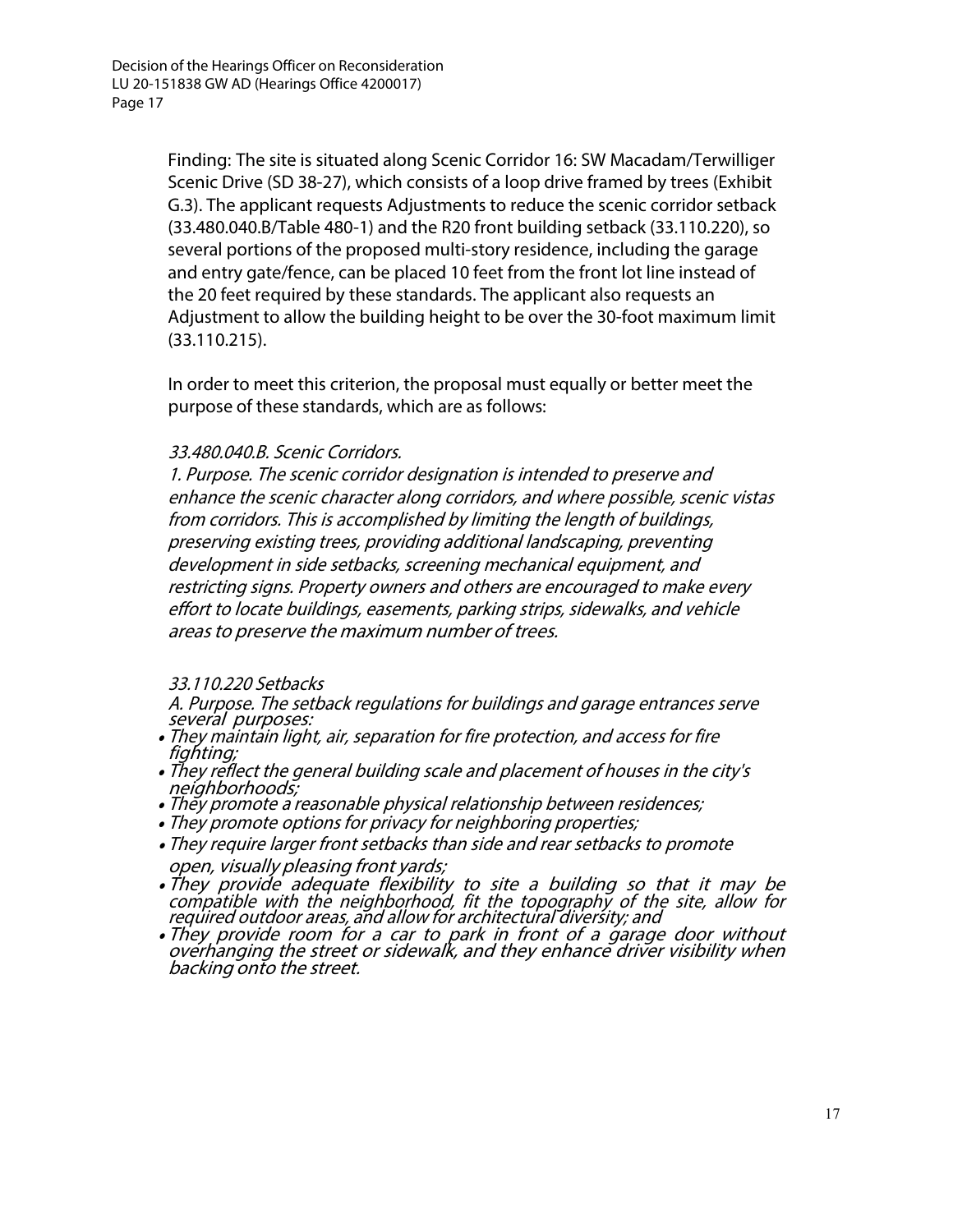Finding: The site is situated along Scenic Corridor 16: SW Macadam/Terwilliger Scenic Drive (SD 38-27), which consists of a loop drive framed by trees (Exhibit G.3). The applicant requests Adjustments to reduce the scenic corridor setback (33.480.040.B/Table 480-1) and the R20 front building setback (33.110.220), so several portions of the proposed multi-story residence, including the garage and entry gate/fence, can be placed 10 feet from the front lot line instead of the 20 feet required by these standards. The applicant also requests an Adjustment to allow the building height to be over the 30-foot maximum limit (33.110.215).

In order to meet this criterion, the proposal must equally or better meet the purpose of these standards, which are as follows:

### 33.480.040.B. Scenic Corridors.

1. Purpose. The scenic corridor designation is intended to preserve and enhance the scenic character along corridors, and where possible, scenic vistas from corridors. This is accomplished by limiting the length of buildings, preserving existing trees, providing additional landscaping, preventing development in side setbacks, screening mechanical equipment, and restricting signs. Property owners and others are encouraged to make every effort to locate buildings, easements, parking strips, sidewalks, and vehicle areas to preserve the maximum number of trees.

#### 33.110.220 Setbacks

A. Purpose. The setback regulations for buildings and garage entrances serve several purposes:

- They maintain light, air, separation for fire protection, and access for fire fighting;
- They reflect the general building scale and placement of houses in the city's • They reflect the general building scale and placement of houses in the city's<br>neighborhoods;<br>• They promote a reasonable physical relationship between residences;
- 
- They promote options for privacy for neighboring properties;
- They require larger front setbacks than side and rear setbacks to promote open, visually pleasing front yards;
- They provide adequate flexibility to site a building so that it may be compatible with the neighborhood, fit the topography of the site, allow for required outdoor areas, and allow for architectural diversity; and
- They provide room for a car to park in front of a garage door without overhanging the street or sidewalk, and they enhance driver visibility when<br>backing onto the street.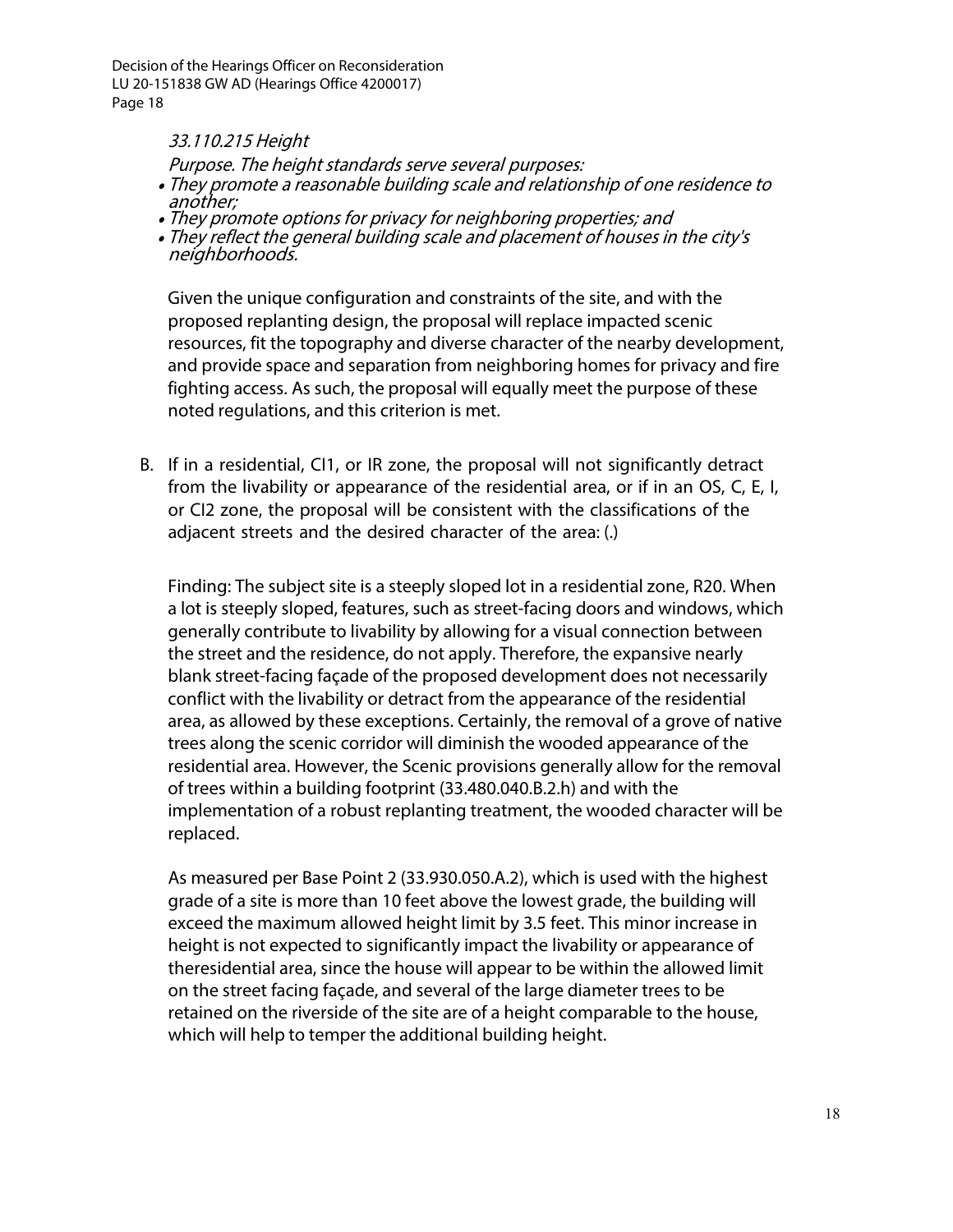#### 33.110.215 Height

Purpose. The height standards serve several purposes:

- They promote a reasonable building scale and relationship of one residence to another;
- They promote options for privacy for neighboring properties; and
- They reflect the general building scale and placement of houses in the city's neighborhoods.

Given the unique configuration and constraints of the site, and with the proposed replanting design, the proposal will replace impacted scenic resources, fit the topography and diverse character of the nearby development, and provide space and separation from neighboring homes for privacy and fire fighting access. As such, the proposal will equally meet the purpose of these noted regulations, and this criterion is met.

B. If in a residential, CI1, or IR zone, the proposal will not significantly detract from the livability or appearance of the residential area, or if in an OS, C, E, I, or CI2 zone, the proposal will be consistent with the classifications of the adjacent streets and the desired character of the area: (.)

Finding: The subject site is a steeply sloped lot in a residential zone, R20. When a lot is steeply sloped, features, such as street-facing doors and windows, which generally contribute to livability by allowing for a visual connection between the street and the residence, do not apply. Therefore, the expansive nearly blank street-facing façade of the proposed development does not necessarily conflict with the livability or detract from the appearance of the residential area, as allowed by these exceptions. Certainly, the removal of a grove of native trees along the scenic corridor will diminish the wooded appearance of the residential area. However, the Scenic provisions generally allow for the removal of trees within a building footprint (33.480.040.B.2.h) and with the implementation of a robust replanting treatment, the wooded character will be replaced.

As measured per Base Point 2 (33.930.050.A.2), which is used with the highest grade of a site is more than 10 feet above the lowest grade, the building will exceed the maximum allowed height limit by 3.5 feet. This minor increase in height is not expected to significantly impact the livability or appearance of theresidential area, since the house will appear to be within the allowed limit on the street facing façade, and several of the large diameter trees to be retained on the riverside of the site are of a height comparable to the house, which will help to temper the additional building height.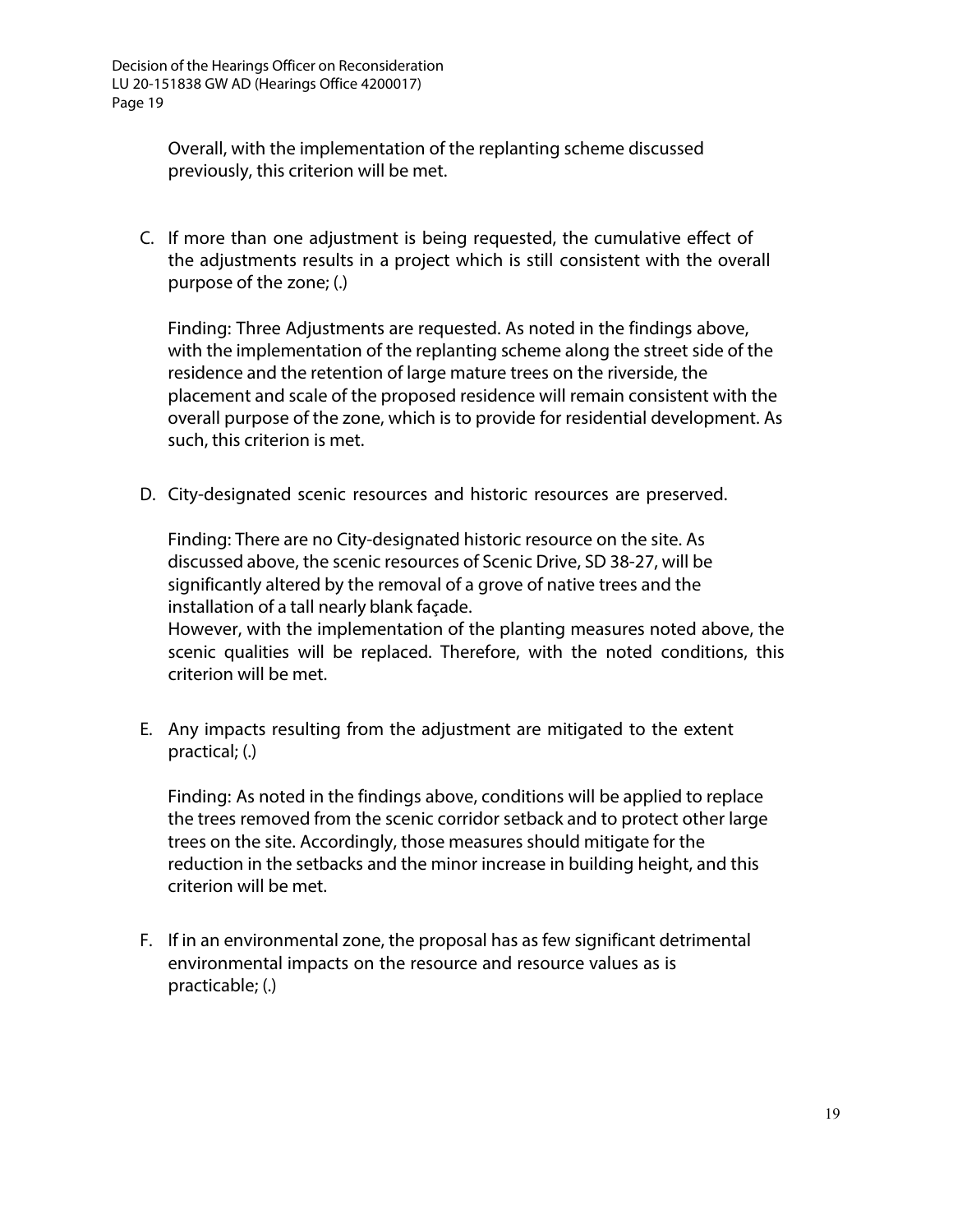Overall, with the implementation of the replanting scheme discussed previously, this criterion will be met.

C. If more than one adjustment is being requested, the cumulative effect of the adjustments results in a project which is still consistent with the overall purpose of the zone; (.)

Finding: Three Adjustments are requested. As noted in the findings above, with the implementation of the replanting scheme along the street side of the residence and the retention of large mature trees on the riverside, the placement and scale of the proposed residence will remain consistent with the overall purpose of the zone, which is to provide for residential development. As such, this criterion is met.

D. City-designated scenic resources and historic resources are preserved.

Finding: There are no City-designated historic resource on the site. As discussed above, the scenic resources of Scenic Drive, SD 38-27, will be significantly altered by the removal of a grove of native trees and the installation of a tall nearly blank façade.

However, with the implementation of the planting measures noted above, the scenic qualities will be replaced. Therefore, with the noted conditions, this criterion will be met.

E. Any impacts resulting from the adjustment are mitigated to the extent practical; (.)

Finding: As noted in the findings above, conditions will be applied to replace the trees removed from the scenic corridor setback and to protect other large trees on the site. Accordingly, those measures should mitigate for the reduction in the setbacks and the minor increase in building height, and this criterion will be met.

F. If in an environmental zone, the proposal has as few significant detrimental environmental impacts on the resource and resource values as is practicable; (.)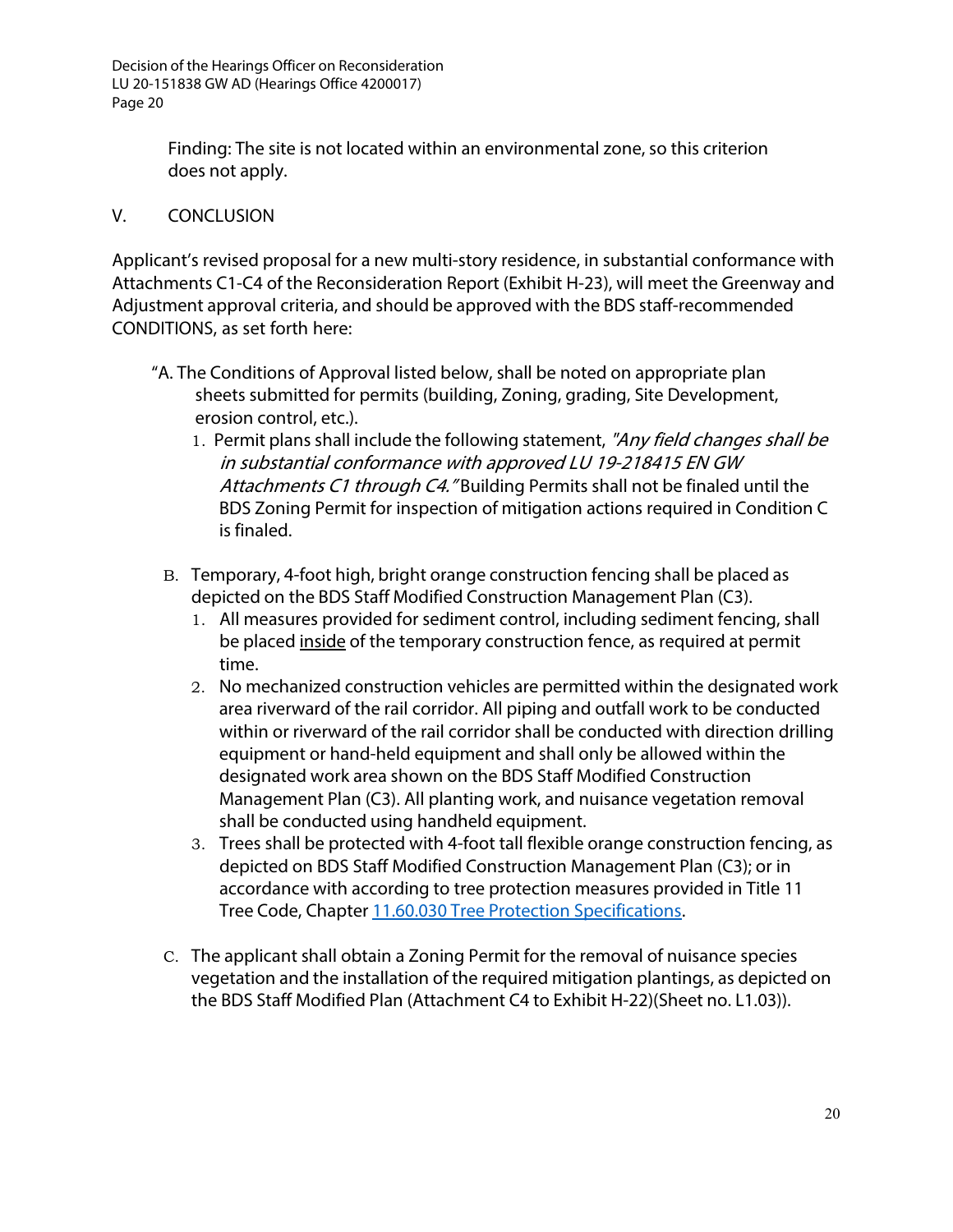> Finding: The site is not located within an environmental zone, so this criterion does not apply.

## V. CONCLUSION

Applicant's revised proposal for a new multi-story residence, in substantial conformance with Attachments C1-C4 of the Reconsideration Report (Exhibit H-23), will meet the Greenway and Adjustment approval criteria, and should be approved with the BDS staff-recommended CONDITIONS, as set forth here:

- "A. The Conditions of Approval listed below, shall be noted on appropriate plan sheets submitted for permits (building, Zoning, grading, Site Development, erosion control, etc.).
	- 1. Permit plans shall include the following statement, "Any field changes shall be in substantial conformance with approved LU 19-218415 EN GW Attachments C1 through C4." Building Permits shall not be finaled until the BDS Zoning Permit for inspection of mitigation actions required in Condition C is finaled.
	- B. Temporary, 4-foot high, bright orange construction fencing shall be placed as depicted on the BDS Staff Modified Construction Management Plan (C3).
		- 1. All measures provided for sediment control, including sediment fencing, shall be placed inside of the temporary construction fence, as required at permit time.
		- 2. No mechanized construction vehicles are permitted within the designated work area riverward of the rail corridor. All piping and outfall work to be conducted within or riverward of the rail corridor shall be conducted with direction drilling equipment or hand-held equipment and shall only be allowed within the designated work area shown on the BDS Staff Modified Construction Management Plan (C3). All planting work, and nuisance vegetation removal shall be conducted using handheld equipment.
		- 3. Trees shall be protected with 4-foot tall flexible orange construction fencing, as depicted on BDS Staff Modified Construction Management Plan (C3); or in accordance with according to tree protection measures provided in Title 11 Tree Code, Chapter 11.60.030 Tree [Protection Specifications.](https://www.portlandoregon.gov/citycode/article/636286)
	- C. The applicant shall obtain a Zoning Permit for the removal of nuisance species vegetation and the installation of the required mitigation plantings, as depicted on the BDS Staff Modified Plan (Attachment C4 to Exhibit H-22)(Sheet no. L1.03)).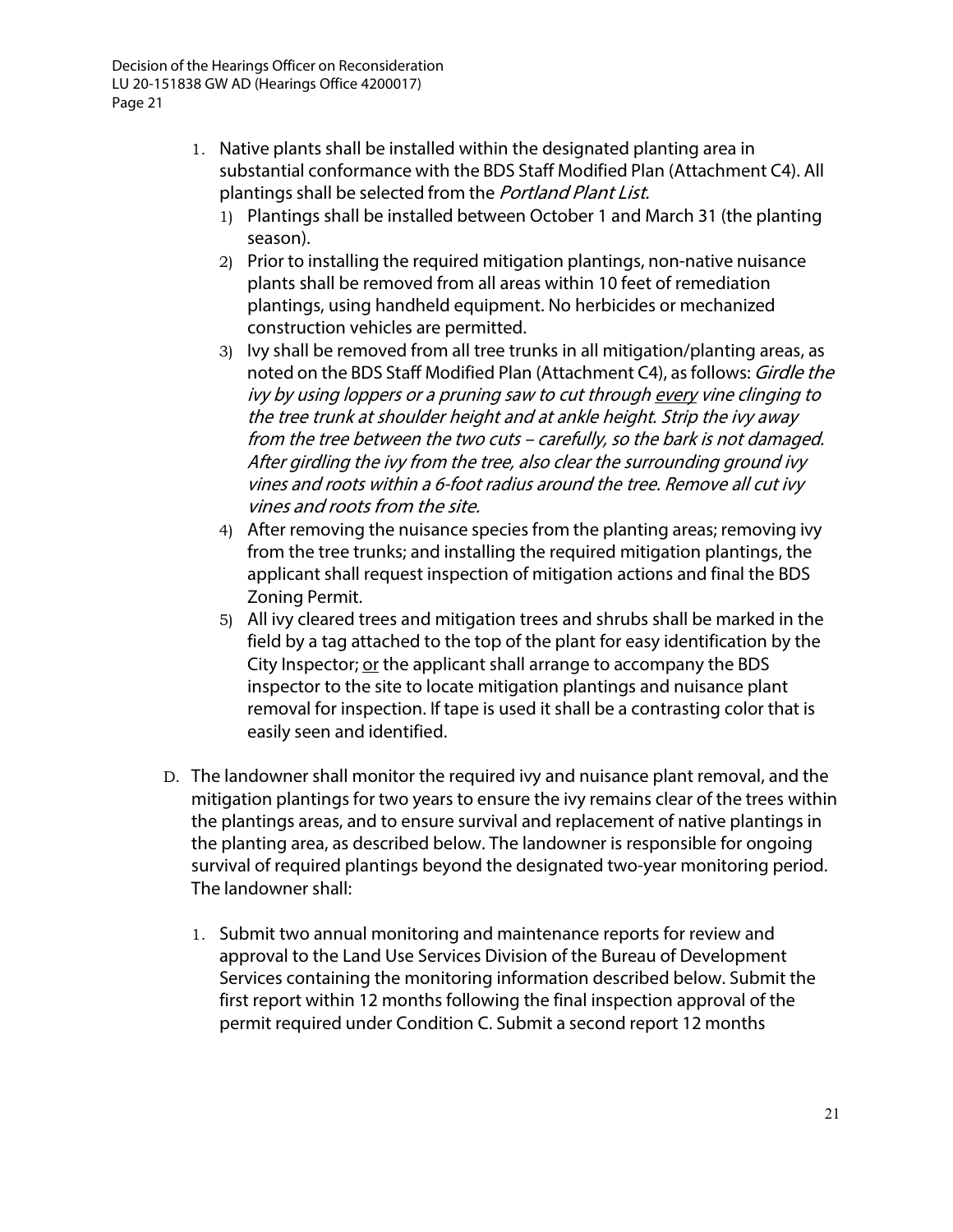- 1. Native plants shall be installed within the designated planting area in substantial conformance with the BDS Staff Modified Plan (Attachment C4). All plantings shall be selected from the Portland Plant List.
	- 1) Plantings shall be installed between October 1 and March 31 (the planting season).
	- 2) Prior to installing the required mitigation plantings, non-native nuisance plants shall be removed from all areas within 10 feet of remediation plantings, using handheld equipment. No herbicides or mechanized construction vehicles are permitted.
	- 3) Ivy shall be removed from all tree trunks in all mitigation/planting areas, as noted on the BDS Staff Modified Plan (Attachment C4), as follows: Girdle the ivy by using loppers or <sup>a</sup> pruning saw to cut through every vine clinging to the tree trunk at shoulder height and at ankle height. Strip the ivy away from the tree between the two cuts – carefully, so the bark is not damaged. After girdling the ivy from the tree, also clear the surrounding ground ivy vines and roots within <sup>a</sup> 6-foot radius around the tree. Remove all cut ivy vines and roots from the site.
	- 4) After removing the nuisance species from the planting areas; removing ivy from the tree trunks; and installing the required mitigation plantings, the applicant shall request inspection of mitigation actions and final the BDS Zoning Permit.
	- 5) All ivy cleared trees and mitigation trees and shrubs shall be marked in the field by a tag attached to the top of the plant for easy identification by the City Inspector; or the applicant shall arrange to accompany the BDS inspector to the site to locate mitigation plantings and nuisance plant removal for inspection. If tape is used it shall be a contrasting color that is easily seen and identified.
- D. The landowner shall monitor the required ivy and nuisance plant removal, and the mitigation plantings for two years to ensure the ivy remains clear of the trees within the plantings areas, and to ensure survival and replacement of native plantings in the planting area, as described below. The landowner is responsible for ongoing survival of required plantings beyond the designated two-year monitoring period. The landowner shall:
	- 1. Submit two annual monitoring and maintenance reports for review and approval to the Land Use Services Division of the Bureau of Development Services containing the monitoring information described below. Submit the first report within 12 months following the final inspection approval of the permit required under Condition C. Submit a second report 12 months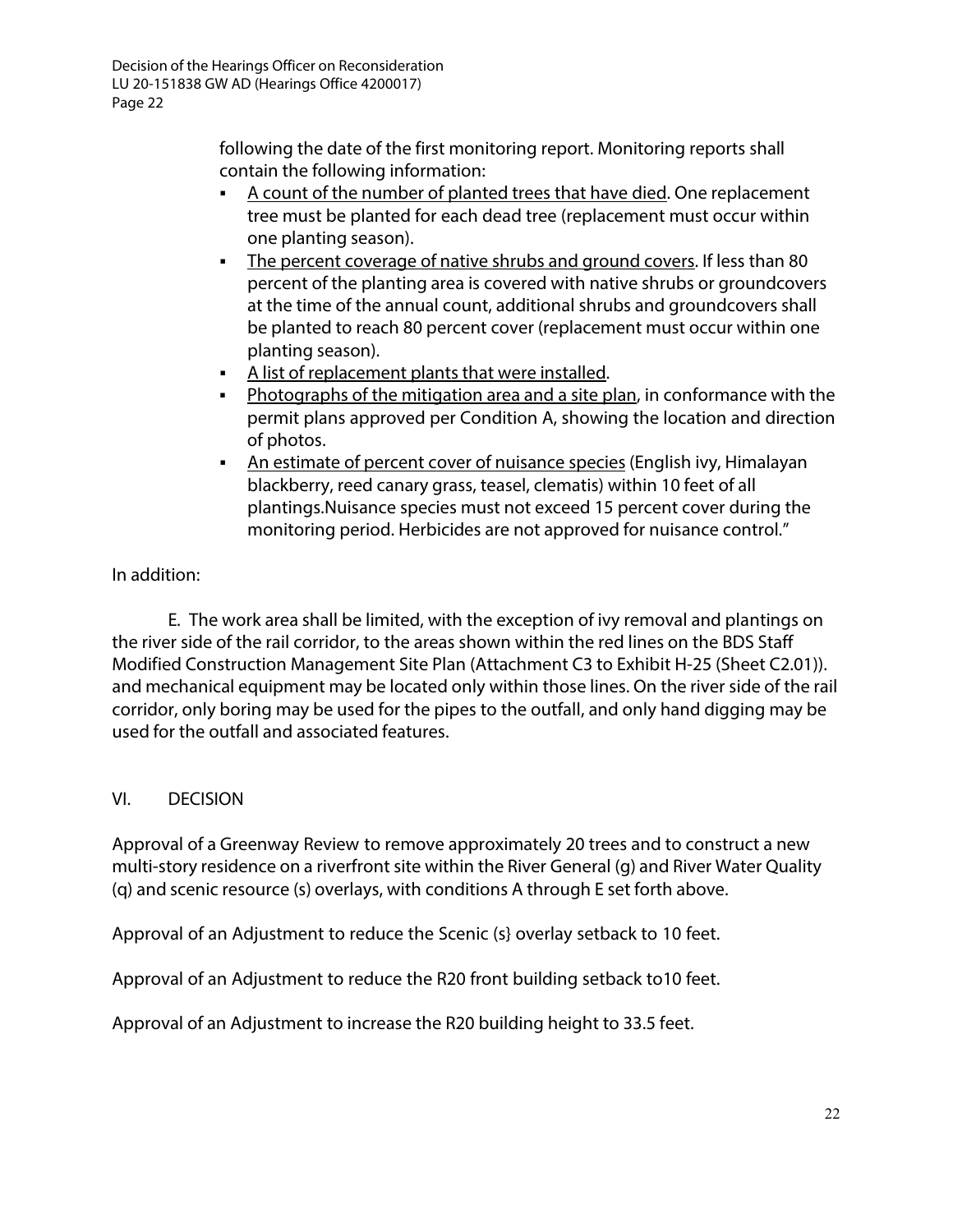following the date of the first monitoring report. Monitoring reports shall contain the following information:

- A count of the number of planted trees that have died. One replacement tree must be planted for each dead tree (replacement must occur within one planting season).
- The percent coverage of native shrubs and ground covers. If less than 80 percent of the planting area is covered with native shrubs or groundcovers at the time of the annual count, additional shrubs and groundcovers shall be planted to reach 80 percent cover (replacement must occur within one planting season).
- A list of replacement plants that were installed.
- Photographs of the mitigation area and a site plan, in conformance with the permit plans approved per Condition A, showing the location and direction of photos.
- An estimate of percent cover of nuisance species (English ivy, Himalayan blackberry, reed canary grass, teasel, clematis) within 10 feet of all plantings.Nuisance species must not exceed 15 percent cover during the monitoring period. Herbicides are not approved for nuisance control."

# In addition:

E. The work area shall be limited, with the exception of ivy removal and plantings on the river side of the rail corridor, to the areas shown within the red lines on the BDS Staff Modified Construction Management Site Plan (Attachment C3 to Exhibit H-25 (Sheet C2.01)). and mechanical equipment may be located only within those lines. On the river side of the rail corridor, only boring may be used for the pipes to the outfall, and only hand digging may be used for the outfall and associated features.

# VI. DECISION

Approval of a Greenway Review to remove approximately 20 trees and to construct a new multi-story residence on a riverfront site within the River General (g) and River Water Quality (q) and scenic resource (s) overlays, with conditions A through E set forth above.

Approval of an Adjustment to reduce the Scenic (s} overlay setback to 10 feet.

Approval of an Adjustment to reduce the R20 front building setback to10 feet.

Approval of an Adjustment to increase the R20 building height to 33.5 feet.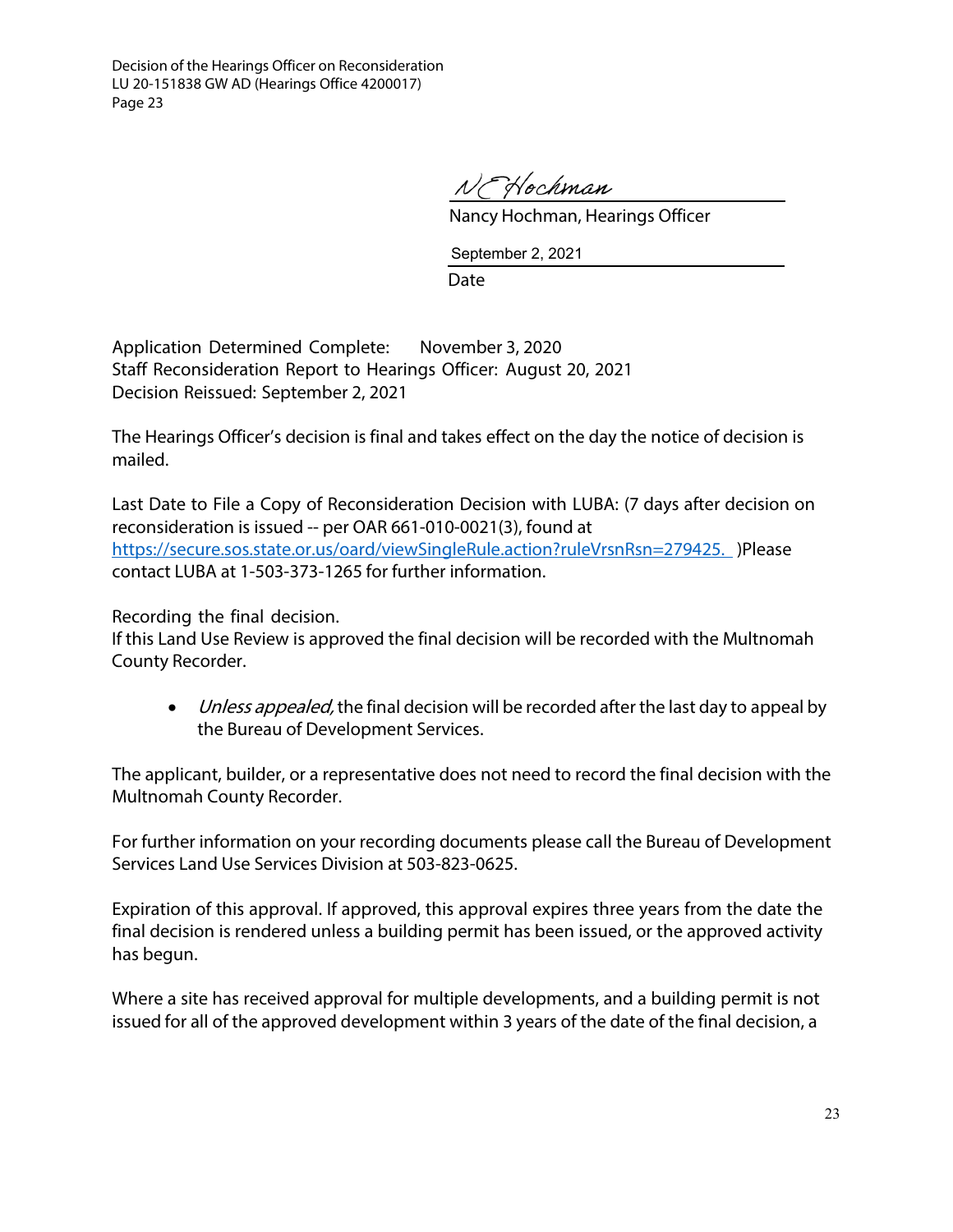N Hochman

Nancy Hochman, Hearings Officer

September 2, 2021

Date

Application Determined Complete: November 3, 2020 Staff Reconsideration Report to Hearings Officer: August 20, 2021 Decision Reissued: September 2, 2021

The Hearings Officer's decision is final and takes effect on the day the notice of decision is mailed.

Last Date to File a Copy of Reconsideration Decision with LUBA: (7 days after decision on reconsideration is issued -- per OAR 661-010-0021(3), found at <https://secure.sos.state.or.us/oard/viewSingleRule.action?ruleVrsnRsn=279425.> )Please contact LUBA at 1-503-373-1265 for further information.

Recording the final decision.

If this Land Use Review is approved the final decision will be recorded with the Multnomah County Recorder.

• Unless appealed, the final decision will be recorded after the last day to appeal by the Bureau of Development Services.

The applicant, builder, or a representative does not need to record the final decision with the Multnomah County Recorder.

For further information on your recording documents please call the Bureau of Development Services Land Use Services Division at 503-823-0625.

Expiration of this approval. If approved, this approval expires three years from the date the final decision is rendered unless a building permit has been issued, or the approved activity has begun.

Where a site has received approval for multiple developments, and a building permit is not issued for all of the approved development within 3 years of the date of the final decision, a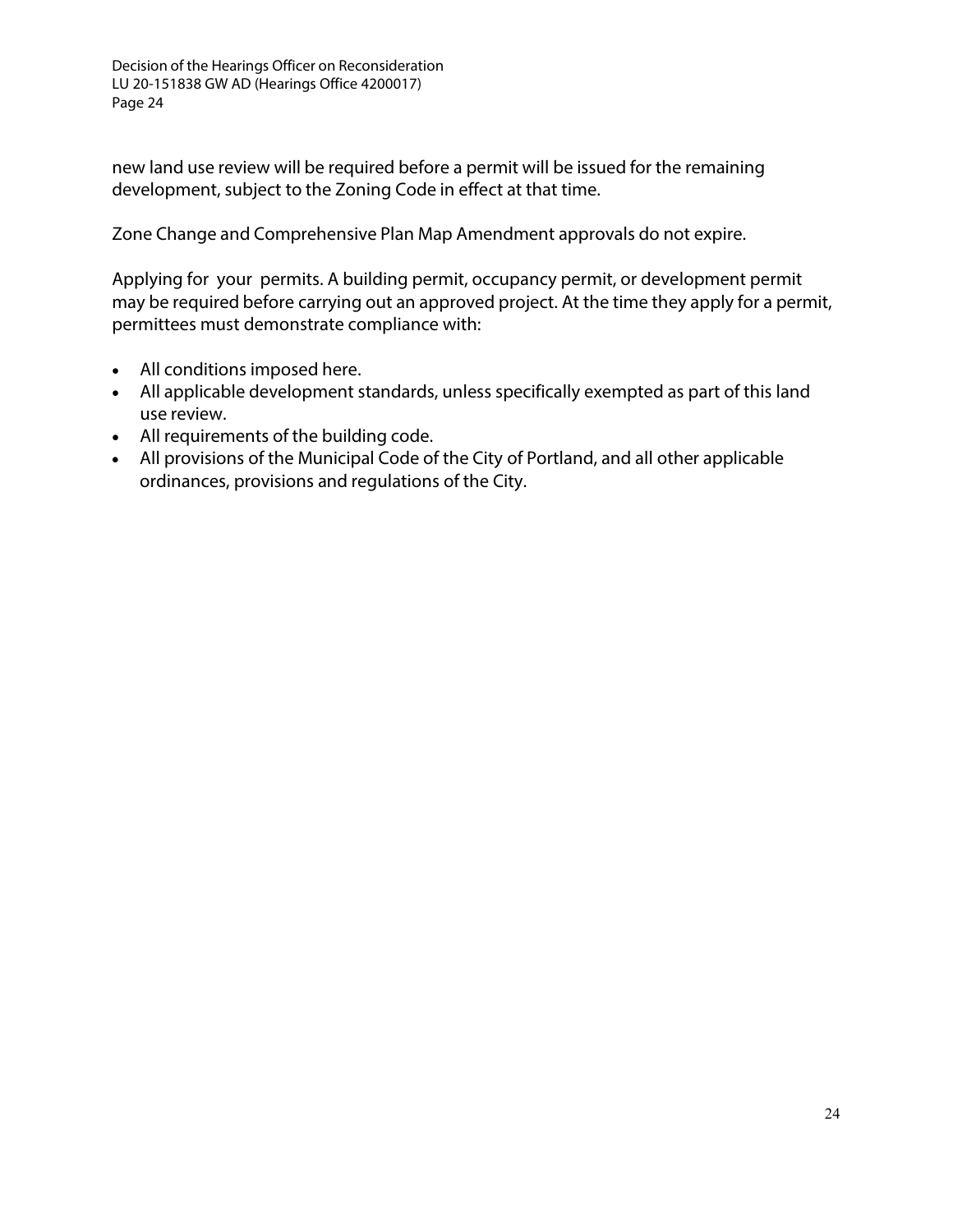new land use review will be required before a permit will be issued for the remaining development, subject to the Zoning Code in effect at that time.

Zone Change and Comprehensive Plan Map Amendment approvals do not expire.

Applying for your permits. A building permit, occupancy permit, or development permit may be required before carrying out an approved project. At the time they apply for a permit, permittees must demonstrate compliance with:

- All conditions imposed here.
- All applicable development standards, unless specifically exempted as part of this land use review.
- All requirements of the building code.
- All provisions of the Municipal Code of the City of Portland, and all other applicable ordinances, provisions and regulations of the City.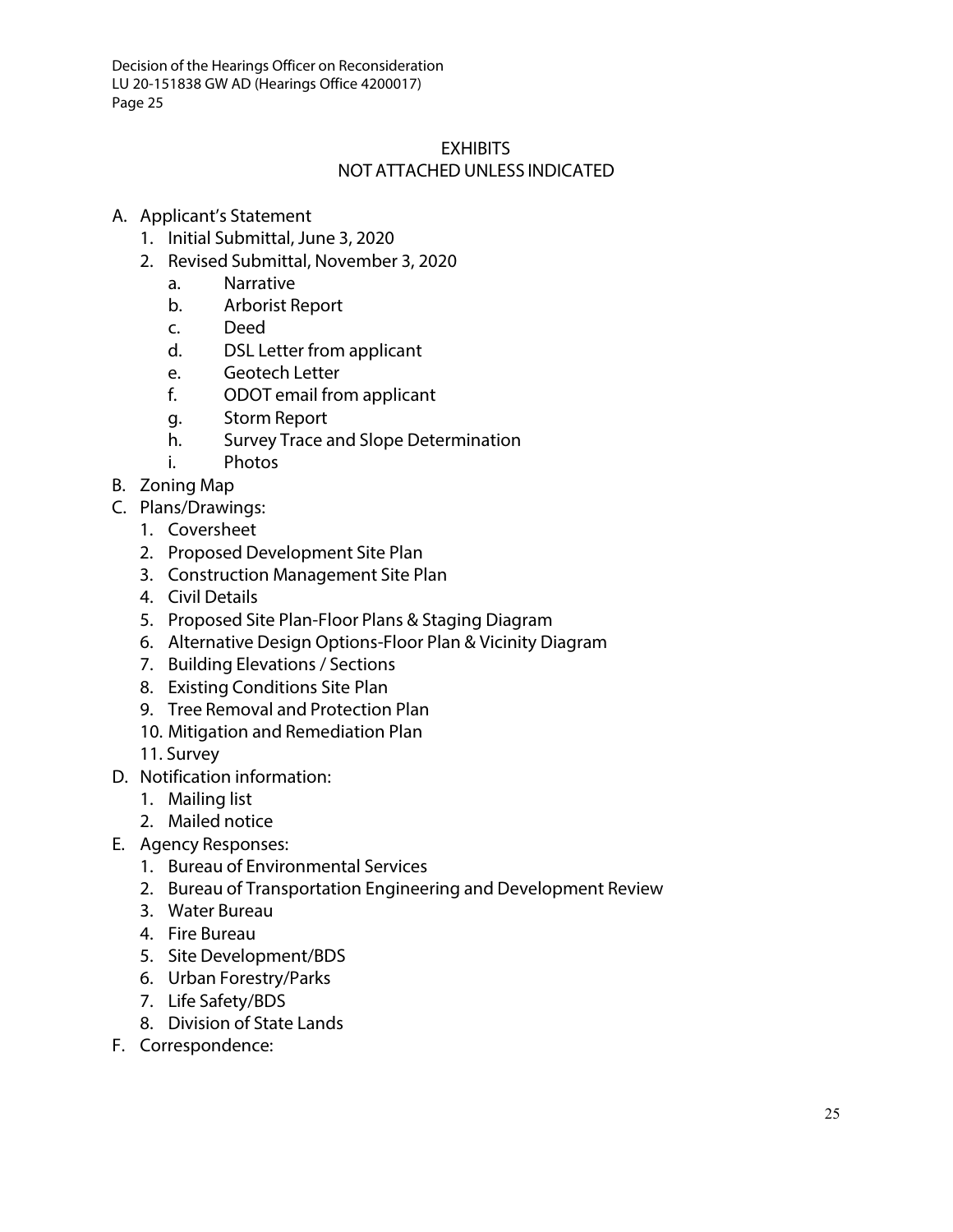## **EXHIBITS** NOT ATTACHED UNLESS INDICATED

## A. Applicant's Statement

- 1. Initial Submittal, June 3, 2020
- 2. Revised Submittal, November 3, 2020
	- a. Narrative
	- b. Arborist Report
	- c. Deed
	- d. DSL Letter from applicant
	- e. Geotech Letter
	- f. ODOT email from applicant
	- g. Storm Report
	- h. Survey Trace and Slope Determination
	- i. Photos
- B. Zoning Map
- C. Plans/Drawings:
	- 1. Coversheet
	- 2. Proposed Development Site Plan
	- 3. Construction Management Site Plan
	- 4. Civil Details
	- 5. Proposed Site Plan-Floor Plans & Staging Diagram
	- 6. Alternative Design Options-Floor Plan & Vicinity Diagram
	- 7. Building Elevations / Sections
	- 8. Existing Conditions Site Plan
	- 9. Tree Removal and Protection Plan
	- 10. Mitigation and Remediation Plan
	- 11. Survey
- D. Notification information:
	- 1. Mailing list
	- 2. Mailed notice
- E. Agency Responses:
	- 1. Bureau of Environmental Services
	- 2. Bureau of Transportation Engineering and Development Review
	- 3. Water Bureau
	- 4. Fire Bureau
	- 5. Site Development/BDS
	- 6. Urban Forestry/Parks
	- 7. Life Safety/BDS
	- 8. Division of State Lands
- F. Correspondence: